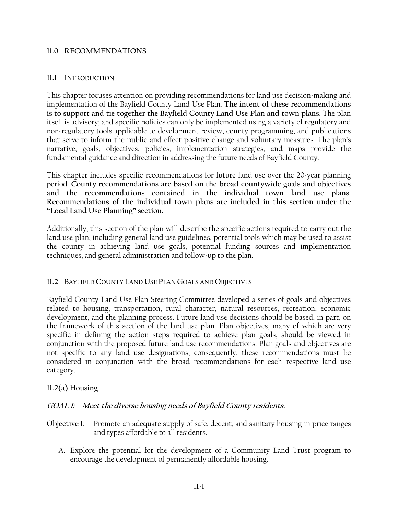#### **11.0 RECOMMENDATIONS**

#### **11.1 INTRODUCTION**

This chapter focuses attention on providing recommendations for land use decision-making and implementation of the Bayfield County Land Use Plan. **The intent of these recommendations is to support and tie together the Bayfield County Land Use Plan and town plans.** The plan itself is advisory; and specific policies can only be implemented using a variety of regulatory and non-regulatory tools applicable to development review, county programming, and publications that serve to inform the public and effect positive change and voluntary measures. The plan's narrative, goals, objectives, policies, implementation strategies, and maps provide the fundamental guidance and direction in addressing the future needs of Bayfield County.

This chapter includes specific recommendations for future land use over the 20-year planning period. **County recommendations are based on the broad countywide goals and objectives and the recommendations contained in the individual town land use plans. Recommendations of the individual town plans are included in this section under the "Local Land Use Planning" section.**

Additionally, this section of the plan will describe the specific actions required to carry out the land use plan, including general land use guidelines, potential tools which may be used to assist the county in achieving land use goals, potential funding sources and implementation techniques, and general administration and follow-up to the plan.

## **11.2 BAYFIELD COUNTY LAND USE PLAN GOALS AND OBJECTIVES**

Bayfield County Land Use Plan Steering Committee developed a series of goals and objectives related to housing, transportation, rural character, natural resources, recreation, economic development, and the planning process. Future land use decisions should be based, in part, on the framework of this section of the land use plan. Plan objectives, many of which are very specific in defining the action steps required to achieve plan goals, should be viewed in conjunction with the proposed future land use recommendations. Plan goals and objectives are not specific to any land use designations; consequently, these recommendations must be considered in conjunction with the broad recommendations for each respective land use category.

## **11.2(a) Housing**

## **GOAL 1: Meet the diverse housing needs of Bayfield County residents.**

- **Objective 1:** Promote an adequate supply of safe, decent, and sanitary housing in price ranges and types affordable to all residents.
	- A. Explore the potential for the development of a Community Land Trust program to encourage the development of permanently affordable housing.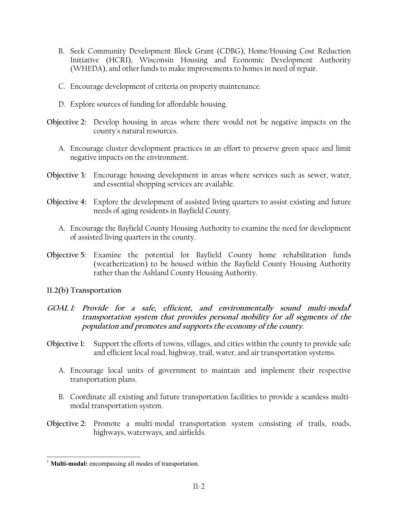- B. Seek Community Development Block Grant (CDBG), Home/Housing Cost Reduction Initiative (HCRI), Wisconsin Housing and Economic Development Authority (WHEDA), and other funds to make improvements to homes in need of repair.
- C. Encourage development of criteria on property maintenance.
- D. Explore sources of funding for affordable housing.
- **Objective 2:** Develop housing in areas where there would not be negative impacts on the county's natural resources.
	- A. Encourage cluster development practices in an effort to preserve green space and limit negative impacts on the environment.
- **Objective 3:** Encourage housing development in areas where services such as sewer, water, and essential shopping services are available.
- **Objective 4:** Explore the development of assisted living quarters to assist existing and future needs of aging residents in Bayfield County.
	- A. Encourage the Bayfield County Housing Authority to examine the need for development of assisted living quarters in the county.
- **Objective 5:** Examine the potential for Bayfield County home rehabilitation funds (weatherization) to be housed within the Bayfield County Housing Authority rather than the Ashland County Housing Authority.
- **11.2(b) Transportation**

 $\overline{a}$ 

- **GOAL 1: Provide for a safe, efficient, and environmentally sound multi-modal<sup>1</sup> transportation system that provides personal mobility for all segments of the population and promotes and supports the economy of the county.**
- **Objective 1:** Support the efforts of towns, villages, and cities within the county to provide safe and efficient local road, highway, trail, water, and air transportation systems.
	- A. Encourage local units of government to maintain and implement their respective transportation plans.
	- B. Coordinate all existing and future transportation facilities to provide a seamless multimodal transportation system.
- **Objective 2:** Promote a multi-modal transportation system consisting of trails, roads, highways, waterways, and airfields.

<sup>&</sup>lt;sup>1</sup> **Multi-modal:** encompassing all modes of transportation.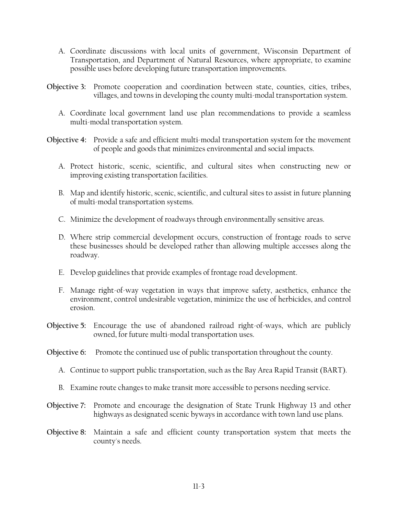- A. Coordinate discussions with local units of government, Wisconsin Department of Transportation, and Department of Natural Resources, where appropriate, to examine possible uses before developing future transportation improvements.
- **Objective 3:** Promote cooperation and coordination between state, counties, cities, tribes, villages, and towns in developing the county multi-modal transportation system.
	- A. Coordinate local government land use plan recommendations to provide a seamless multi-modal transportation system.
- **Objective 4:** Provide a safe and efficient multi-modal transportation system for the movement of people and goods that minimizes environmental and social impacts.
	- A. Protect historic, scenic, scientific, and cultural sites when constructing new or improving existing transportation facilities.
	- B. Map and identify historic, scenic, scientific, and cultural sites to assist in future planning of multi-modal transportation systems.
	- C. Minimize the development of roadways through environmentally sensitive areas.
	- D. Where strip commercial development occurs, construction of frontage roads to serve these businesses should be developed rather than allowing multiple accesses along the roadway.
	- E. Develop guidelines that provide examples of frontage road development.
	- F. Manage right-of-way vegetation in ways that improve safety, aesthetics, enhance the environment, control undesirable vegetation, minimize the use of herbicides, and control erosion.
- **Objective 5:** Encourage the use of abandoned railroad right-of-ways, which are publicly owned, for future multi-modal transportation uses.
- **Objective 6:** Promote the continued use of public transportation throughout the county.
	- A. Continue to support public transportation, such as the Bay Area Rapid Transit (BART).
	- B. Examine route changes to make transit more accessible to persons needing service.
- **Objective 7:** Promote and encourage the designation of State Trunk Highway 13 and other highways as designated scenic byways in accordance with town land use plans.
- **Objective 8:** Maintain a safe and efficient county transportation system that meets the county's needs.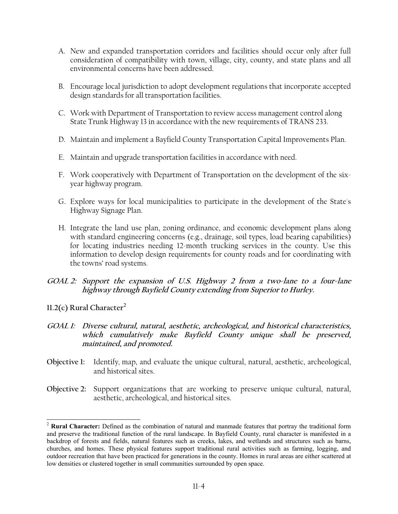- A. New and expanded transportation corridors and facilities should occur only after full consideration of compatibility with town, village, city, county, and state plans and all environmental concerns have been addressed.
- B. Encourage local jurisdiction to adopt development regulations that incorporate accepted design standards for all transportation facilities.
- C. Work with Department of Transportation to review access management control along State Trunk Highway 13 in accordance with the new requirements of TRANS 233.
- D. Maintain and implement a Bayfield County Transportation Capital Improvements Plan.
- E. Maintain and upgrade transportation facilities in accordance with need.
- F. Work cooperatively with Department of Transportation on the development of the sixyear highway program.
- G. Explore ways for local municipalities to participate in the development of the State's Highway Signage Plan.
- H. Integrate the land use plan, zoning ordinance, and economic development plans along with standard engineering concerns (e.g., drainage, soil types, load bearing capabilities) for locating industries needing 12-month trucking services in the county. Use this information to develop design requirements for county roads and for coordinating with the towns' road systems.
- **GOAL 2: Support the expansion of U.S. Highway 2 from a two-lane to a four-lane highway through Bayfield County extending from Superior to Hurley.**
- **11.2(c) Rural Character<sup>2</sup>**

l

- **GOAL 1: Diverse cultural, natural, aesthetic, archeological, and historical characteristics, which cumulatively make Bayfield County unique shall be preserved, maintained, and promoted.**
- **Objective 1:** Identify*,* map, and evaluate the unique cultural, natural, aesthetic, archeological, and historical sites.
- **Objective 2:** Support organizations that are working to preserve unique cultural, natural, aesthetic, archeological, and historical sites.

<sup>2</sup> **Rural Character:** Defined as the combination of natural and manmade features that portray the traditional form and preserve the traditional function of the rural landscape. In Bayfield County, rural character is manifested in a backdrop of forests and fields, natural features such as creeks, lakes, and wetlands and structures such as barns, churches, and homes. These physical features support traditional rural activities such as farming, logging, and outdoor recreation that have been practiced for generations in the county. Homes in rural areas are either scattered at low densities or clustered together in small communities surrounded by open space.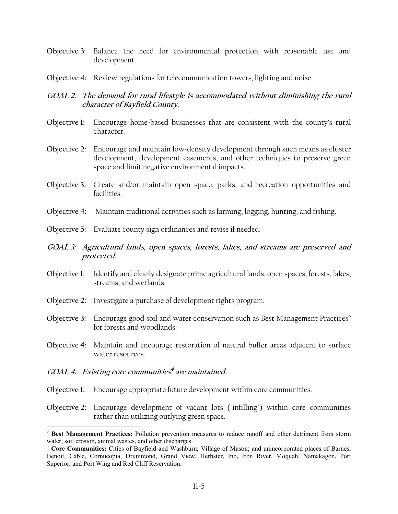- **Objective 3:** Balance the need for environmental protection with reasonable use and development.
- **Objective 4:** Review regulations for telecommunication towers, lighting and noise.

## **GOAL 2: The demand for rural lifestyle is accommodated without diminishing the rural character of Bayfield County.**

- **Objective 1:** Encourage home-based businesses that are consistent with the county's rural character.
- **Objective 2:** Encourage and maintain low-density development through such means as cluster development, development easements, and other techniques to preserve green space and limit negative environmental impacts.
- **Objective 3:** Create and/or maintain open space, parks, and recreation opportunities and facilities.
- **Objective 4:** Maintain traditional activities such as farming, logging, hunting, and fishing.
- **Objective 5:** Evaluate county sign ordinances and revise if needed.
- **GOAL 3: Agricultural lands, open spaces, forests, lakes, and streams are preserved and protected.**
- **Objective 1:** Identify and clearly designate prime agricultural lands, open spaces, forests, lakes, streams, and wetlands.
- **Objective 2:** Investigate a purchase of development rights program.
- **Objective 3:** Encourage good soil and water conservation such as Best Management Practices<sup>3</sup> for forests and woodlands.
- **Objective 4:** Maintain and encourage restoration of natural buffer areas adjacent to surface water resources.

## **GOAL 4: Existing core communities<sup>4</sup> are maintained.**

 $\overline{a}$ 

- **Objective 1:** Encourage appropriate future development within core communities.
- **Objective 2:** Encourage development of vacant lots ("infilling") within core communities rather than utilizing outlying green space.

<sup>&</sup>lt;sup>3</sup> Best Management Practices: Pollution prevention measures to reduce runoff and other detriment from storm water, soil erosion, animal wastes, and other discharges.

<sup>4</sup> **Core Communities:** Cities of Bayfield and Washburn; Village of Mason; and unincorporated places of Barnes, Benoit, Cable, Cornucopia, Drummond, Grand View, Herbster, Ino, Iron River, Moquah, Namakagon, Port Superior, and Port Wing and Red Cliff Reservation.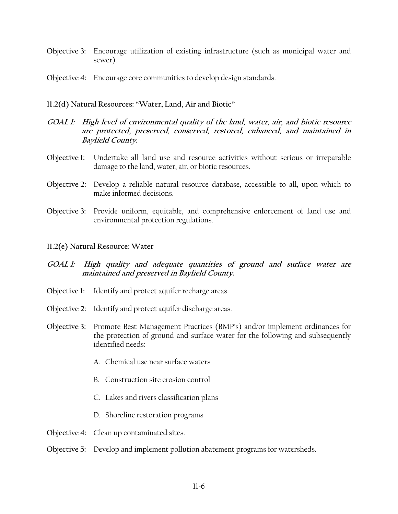- **Objective 3:** Encourage utilization of existing infrastructure (such as municipal water and sewer).
- **Objective 4:** Encourage core communities to develop design standards.
- **11.2(d) Natural Resources: "Water, Land, Air and Biotic"**
- **GOAL 1: High level of environmental quality of the land, water, air, and biotic resource are protected, preserved, conserved, restored, enhanced, and maintained in Bayfield County.**
- **Objective 1:** Undertake all land use and resource activities without serious or irreparable damage to the land, water, air, or biotic resources.
- **Objective 2:** Develop a reliable natural resource database, accessible to all, upon which to make informed decisions.
- **Objective 3:** Provide uniform, equitable, and comprehensive enforcement of land use and environmental protection regulations.
- **11.2(e) Natural Resource: Water**
- **GOAL 1: High quality and adequate quantities of ground and surface water are maintained and preserved in Bayfield County.**
- **Objective 1:** Identify and protect aquifer recharge areas.
- **Objective 2:** Identify and protect aquifer discharge areas.
- **Objective 3:** Promote Best Management Practices (BMP's) and/or implement ordinances for the protection of ground and surface water for the following and subsequently identified needs:
	- A. Chemical use near surface waters
	- B. Construction site erosion control
	- C. Lakes and rivers classification plans
	- D. Shoreline restoration programs
- **Objective 4:** Clean up contaminated sites.
- **Objective 5:** Develop and implement pollution abatement programs for watersheds.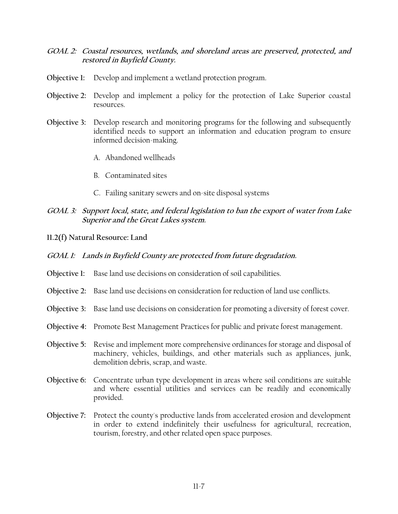- **GOAL 2: Coastal resources, wetlands, and shoreland areas are preserved, protected, and restored in Bayfield County.**
- **Objective 1:** Develop and implement a wetland protection program.
- **Objective 2:** Develop and implement a policy for the protection of Lake Superior coastal resources.
- **Objective 3:** Develop research and monitoring programs for the following and subsequently identified needs to support an information and education program to ensure informed decision-making.
	- A. Abandoned wellheads
	- B. Contaminated sites
	- C. Failing sanitary sewers and on-site disposal systems

### **GOAL 3: Support local, state, and federal legislation to ban the export of water from Lake Superior and the Great Lakes system.**

**11.2(f) Natural Resource: Land**

#### **GOAL 1: Lands in Bayfield County are protected from future degradation.**

- **Objective 1:** Base land use decisions on consideration of soil capabilities.
- **Objective 2:** Base land use decisions on consideration for reduction of land use conflicts.
- **Objective 3:** Base land use decisions on consideration for promoting a diversity of forest cover.
- **Objective 4:** Promote Best Management Practices for public and private forest management.
- **Objective 5:** Revise and implement more comprehensive ordinances for storage and disposal of machinery, vehicles, buildings, and other materials such as appliances, junk, demolition debris, scrap, and waste.
- **Objective 6:** Concentrate urban type development in areas where soil conditions are suitable and where essential utilities and services can be readily and economically provided.
- **Objective 7:** Protect the county's productive lands from accelerated erosion and development in order to extend indefinitely their usefulness for agricultural, recreation, tourism, forestry, and other related open space purposes.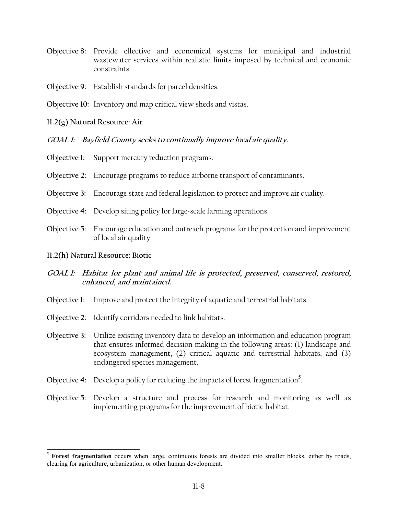- **Objective 8:** Provide effective and economical systems for municipal and industrial wastewater services within realistic limits imposed by technical and economic constraints.
- **Objective 9:** Establish standards for parcel densities.
- **Objective 10:** Inventory and map critical view sheds and vistas.

**11.2(g) Natural Resource: Air** 

**GOAL 1: Bayfield County seeks to continually improve local air quality.**

- **Objective 1:** Support mercury reduction programs.
- **Objective 2:** Encourage programs to reduce airborne transport of contaminants.
- **Objective 3:** Encourage state and federal legislation to protect and improve air quality.
- **Objective 4:** Develop siting policy for large-scale farming operations.
- **Objective 5:** Encourage education and outreach programs for the protection and improvement of local air quality.
- **11.2(h) Natural Resource: Biotic**

 $\overline{a}$ 

- **GOAL 1: Habitat for plant and animal life is protected, preserved, conserved, restored, enhanced, and maintained.**
- **Objective 1:** Improve and protect the integrity of aquatic and terrestrial habitats.
- **Objective 2:** Identify corridors needed to link habitats.
- **Objective 3:** Utilize existing inventory data to develop an information and education program that ensures informed decision making in the following areas: (1) landscape and ecosystem management, (2) critical aquatic and terrestrial habitats, and (3) endangered species management.
- Objective 4: Develop a policy for reducing the impacts of forest fragmentation<sup>5</sup>.
- **Objective 5:** Develop a structure and process for research and monitoring as well as implementing programs for the improvement of biotic habitat.

<sup>&</sup>lt;sup>5</sup> Forest fragmentation occurs when large, continuous forests are divided into smaller blocks, either by roads, clearing for agriculture, urbanization, or other human development.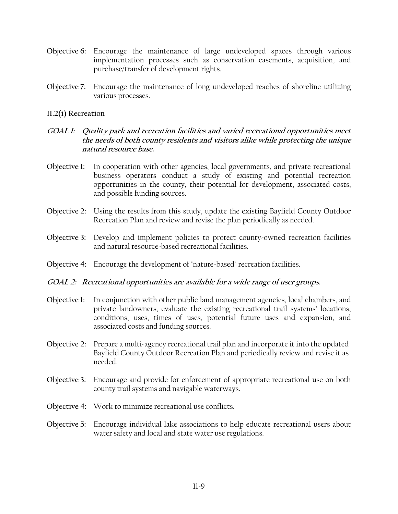- **Objective 6:** Encourage the maintenance of large undeveloped spaces through various implementation processes such as conservation easements, acquisition, and purchase/transfer of development rights.
- **Objective 7:** Encourage the maintenance of long undeveloped reaches of shoreline utilizing various processes.

#### **11.2(i) Recreation**

- **GOAL 1: Quality park and recreation facilities and varied recreational opportunities meet the needs of both county residents and visitors alike while protecting the unique natural resource base.**
- **Objective 1:** In cooperation with other agencies, local governments, and private recreational business operators conduct a study of existing and potential recreation opportunities in the county, their potential for development, associated costs, and possible funding sources.
- **Objective 2:** Using the results from this study, update the existing Bayfield County Outdoor Recreation Plan and review and revise the plan periodically as needed.
- **Objective 3:** Develop and implement policies to protect county-owned recreation facilities and natural resource-based recreational facilities.
- **Objective 4:** Encourage the development of "nature-based" recreation facilities.

#### **GOAL 2: Recreational opportunities are available for a wide range of user groups.**

- **Objective 1:** In conjunction with other public land management agencies, local chambers, and private landowners, evaluate the existing recreational trail systems' locations, conditions, uses, times of uses, potential future uses and expansion, and associated costs and funding sources.
- **Objective 2:** Prepare a multi-agency recreational trail plan and incorporate it into the updated Bayfield County Outdoor Recreation Plan and periodically review and revise it as needed.
- **Objective 3:** Encourage and provide for enforcement of appropriate recreational use on both county trail systems and navigable waterways.
- **Objective 4:** Work to minimize recreational use conflicts.
- **Objective 5:** Encourage individual lake associations to help educate recreational users about water safety and local and state water use regulations.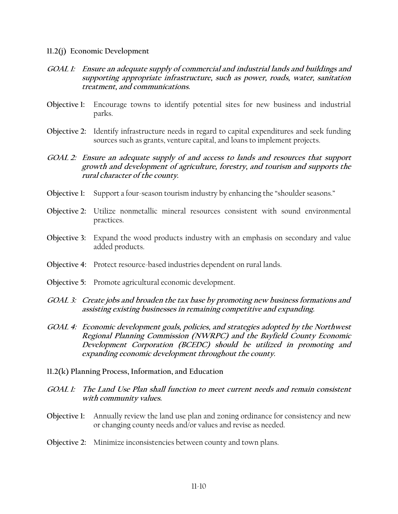#### **11.2(j) Economic Development**

- **GOAL 1: Ensure an adequate supply of commercial and industrial lands and buildings and supporting appropriate infrastructure, such as power, roads, water, sanitation treatment, and communications.**
- **Objective 1:** Encourage towns to identify potential sites for new business and industrial parks.
- **Objective 2:** Identify infrastructure needs in regard to capital expenditures and seek funding sources such as grants, venture capital, and loans to implement projects.
- **GOAL 2: Ensure an adequate supply of and access to lands and resources that support growth and development of agriculture, forestry, and tourism and supports the rural character of the county.**
- **Objective 1:** Support a four-season tourism industry by enhancing the "shoulder seasons."
- **Objective 2:** Utilize nonmetallic mineral resources consistent with sound environmental practices.
- **Objective 3:** Expand the wood products industry with an emphasis on secondary and value added products.
- **Objective 4:** Protect resource-based industries dependent on rural lands.
- **Objective 5:** Promote agricultural economic development.
- **GOAL 3: Create jobs and broaden the tax base by promoting new business formations and assisting existing businesses in remaining competitive and expanding.**
- **GOAL 4: Economic development goals, policies, and strategies adopted by the Northwest Regional Planning Commission (NWRPC) and the Bayfield County Economic Development Corporation (BCEDC) should be utilized in promoting and expanding economic development throughout the county.**
- **11.2(k) Planning Process, Information, and Education**
- **GOAL 1: The Land Use Plan shall function to meet current needs and remain consistent with community values.**
- **Objective 1:** Annually review the land use plan and zoning ordinance for consistency and new or changing county needs and/or values and revise as needed.
- **Objective 2:** Minimize inconsistencies between county and town plans.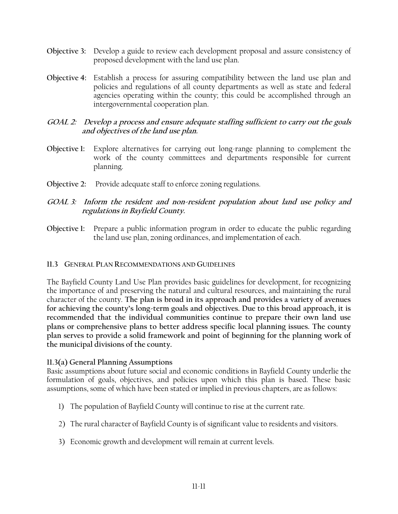- **Objective 3:** Develop a guide to review each development proposal and assure consistency of proposed development with the land use plan.
- **Objective 4:** Establish a process for assuring compatibility between the land use plan and policies and regulations of all county departments as well as state and federal agencies operating within the county; this could be accomplished through an intergovernmental cooperation plan.

## **GOAL 2: Develop a process and ensure adequate staffing sufficient to carry out the goals and objectives of the land use plan.**

- **Objective 1:** Explore alternatives for carrying out long-range planning to complement the work of the county committees and departments responsible for current planning.
- **Objective 2:** Provide adequate staff to enforce zoning regulations.

## **GOAL 3: Inform the resident and non-resident population about land use policy and regulations in Bayfield County.**

**Objective 1:** Prepare a public information program in order to educate the public regarding the land use plan, zoning ordinances, and implementation of each.

## **11.3 GENERAL PLAN RECOMMENDATIONS AND GUIDELINES**

The Bayfield County Land Use Plan provides basic guidelines for development, for recognizing the importance of and preserving the natural and cultural resources, and maintaining the rural character of the county. **The plan is broad in its approach and provides a variety of avenues for achieving the county's long-term goals and objectives. Due to this broad approach, it is recommended that the individual communities continue to prepare their own land use plans or comprehensive plans to better address specific local planning issues. The county plan serves to provide a solid framework and point of beginning for the planning work of the municipal divisions of the county.**

## **11.3(a) General Planning Assumptions**

Basic assumptions about future social and economic conditions in Bayfield County underlie the formulation of goals, objectives, and policies upon which this plan is based. These basic assumptions, some of which have been stated or implied in previous chapters, are as follows:

- 1) The population of Bayfield County will continue to rise at the current rate.
- 2) The rural character of Bayfield County is of significant value to residents and visitors.
- 3) Economic growth and development will remain at current levels.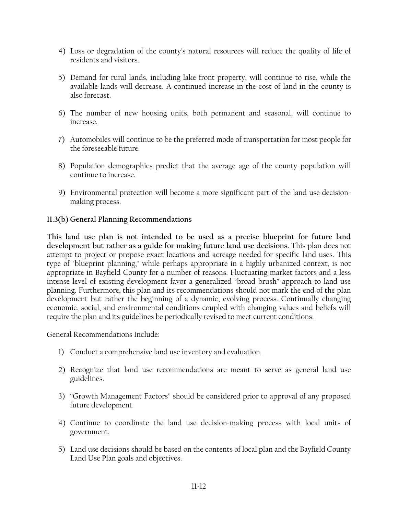- 4) Loss or degradation of the county's natural resources will reduce the quality of life of residents and visitors.
- 5) Demand for rural lands, including lake front property, will continue to rise, while the available lands will decrease. A continued increase in the cost of land in the county is also forecast.
- 6) The number of new housing units, both permanent and seasonal, will continue to increase.
- 7) Automobiles will continue to be the preferred mode of transportation for most people for the foreseeable future.
- 8) Population demographics predict that the average age of the county population will continue to increase.
- 9) Environmental protection will become a more significant part of the land use decisionmaking process.

## **11.3(b) General Planning Recommendations**

**This land use plan is not intended to be used as a precise blueprint for future land development but rather as a guide for making future land use decisions.** This plan does not attempt to project or propose exact locations and acreage needed for specific land uses. This type of "blueprint planning," while perhaps appropriate in a highly urbanized context, is not appropriate in Bayfield County for a number of reasons. Fluctuating market factors and a less intense level of existing development favor a generalized "broad brush" approach to land use planning. Furthermore, this plan and its recommendations should not mark the end of the plan development but rather the beginning of a dynamic, evolving process. Continually changing economic, social, and environmental conditions coupled with changing values and beliefs will require the plan and its guidelines be periodically revised to meet current conditions.

General Recommendations Include:

- 1) Conduct a comprehensive land use inventory and evaluation.
- 2) Recognize that land use recommendations are meant to serve as general land use guidelines.
- 3) "Growth Management Factors" should be considered prior to approval of any proposed future development.
- 4) Continue to coordinate the land use decision-making process with local units of government.
- 5) Land use decisions should be based on the contents of local plan and the Bayfield County Land Use Plan goals and objectives.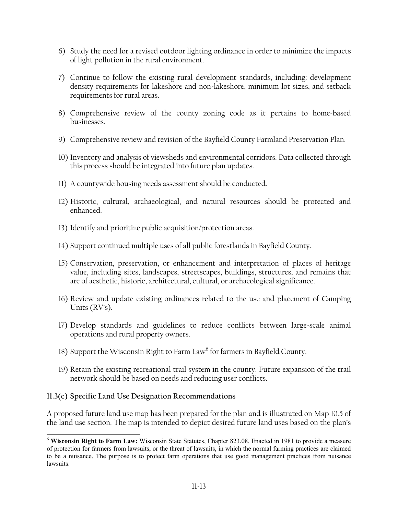- 6) Study the need for a revised outdoor lighting ordinance in order to minimize the impacts of light pollution in the rural environment.
- 7) Continue to follow the existing rural development standards, including: development density requirements for lakeshore and non-lakeshore, minimum lot sizes, and setback requirements for rural areas.
- 8) Comprehensive review of the county zoning code as it pertains to home-based businesses.
- 9) Comprehensive review and revision of the Bayfield County Farmland Preservation Plan.
- 10) Inventory and analysis of viewsheds and environmental corridors. Data collected through this process should be integrated into future plan updates.
- 11) A countywide housing needs assessment should be conducted.
- 12) Historic, cultural, archaeological, and natural resources should be protected and enhanced.
- 13) Identify and prioritize public acquisition/protection areas.
- 14) Support continued multiple uses of all public forestlands in Bayfield County.
- 15) Conservation, preservation, or enhancement and interpretation of places of heritage value, including sites, landscapes, streetscapes, buildings, structures, and remains that are of aesthetic, historic, architectural, cultural, or archaeological significance.
- 16) Review and update existing ordinances related to the use and placement of Camping Units (RV's).
- 17) Develop standards and guidelines to reduce conflicts between large-scale animal operations and rural property owners.
- 18) Support the Wisconsin Right to Farm  $\text{Law}^6$  for farmers in Bayfield County.
- 19) Retain the existing recreational trail system in the county. Future expansion of the trail network should be based on needs and reducing user conflicts.

## **11.3(c) Specific Land Use Designation Recommendations**

 $\overline{a}$ 

A proposed future land use map has been prepared for the plan and is illustrated on Map 10.5 of the land use section. The map is intended to depict desired future land uses based on the plan's

<sup>6</sup> **Wisconsin Right to Farm Law:** Wisconsin State Statutes, Chapter 823.08. Enacted in 1981 to provide a measure of protection for farmers from lawsuits, or the threat of lawsuits, in which the normal farming practices are claimed to be a nuisance. The purpose is to protect farm operations that use good management practices from nuisance lawsuits.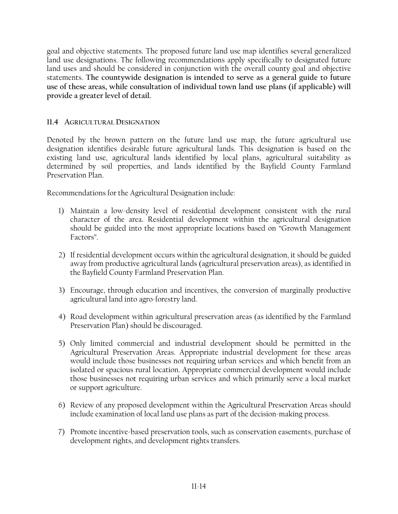goal and objective statements. The proposed future land use map identifies several generalized land use designations. The following recommendations apply specifically to designated future land uses and should be considered in conjunction with the overall county goal and objective statements. **The countywide designation is intended to serve as a general guide to future use of these areas, while consultation of individual town land use plans (if applicable) will provide a greater level of detail.**

## **11.4 AGRICULTURAL DESIGNATION**

Denoted by the brown pattern on the future land use map, the future agricultural use designation identifies desirable future agricultural lands. This designation is based on the existing land use, agricultural lands identified by local plans, agricultural suitability as determined by soil properties, and lands identified by the Bayfield County Farmland Preservation Plan.

Recommendations for the Agricultural Designation include:

- 1) Maintain a low-density level of residential development consistent with the rural character of the area. Residential development within the agricultural designation should be guided into the most appropriate locations based on "Growth Management Factors".
- 2) If residential development occurs within the agricultural designation, it should be guided away from productive agricultural lands (agricultural preservation areas), as identified in the Bayfield County Farmland Preservation Plan.
- 3) Encourage, through education and incentives, the conversion of marginally productive agricultural land into agro-forestry land.
- 4) Road development within agricultural preservation areas (as identified by the Farmland Preservation Plan) should be discouraged.
- 5) Only limited commercial and industrial development should be permitted in the Agricultural Preservation Areas. Appropriate industrial development for these areas would include those businesses not requiring urban services and which benefit from an isolated or spacious rural location. Appropriate commercial development would include those businesses not requiring urban services and which primarily serve a local market or support agriculture.
- 6) Review of any proposed development within the Agricultural Preservation Areas should include examination of local land use plans as part of the decision-making process.
- 7) Promote incentive-based preservation tools, such as conservation easements, purchase of development rights, and development rights transfers.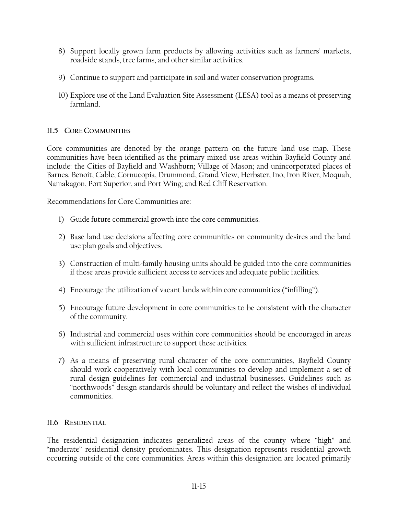- 8) Support locally grown farm products by allowing activities such as farmers' markets, roadside stands, tree farms, and other similar activities.
- 9) Continue to support and participate in soil and water conservation programs.
- 10) Explore use of the Land Evaluation Site Assessment (LESA) tool as a means of preserving farmland.

## **11.5 CORE COMMUNITIES**

Core communities are denoted by the orange pattern on the future land use map. These communities have been identified as the primary mixed use areas within Bayfield County and include: the Cities of Bayfield and Washburn; Village of Mason; and unincorporated places of Barnes, Benoit, Cable, Cornucopia, Drummond, Grand View, Herbster, Ino, Iron River, Moquah, Namakagon, Port Superior, and Port Wing; and Red Cliff Reservation.

Recommendations for Core Communities are:

- 1) Guide future commercial growth into the core communities.
- 2) Base land use decisions affecting core communities on community desires and the land use plan goals and objectives.
- 3) Construction of multi-family housing units should be guided into the core communities if these areas provide sufficient access to services and adequate public facilities.
- 4) Encourage the utilization of vacant lands within core communities ("infilling").
- 5) Encourage future development in core communities to be consistent with the character of the community.
- 6) Industrial and commercial uses within core communities should be encouraged in areas with sufficient infrastructure to support these activities.
- 7) As a means of preserving rural character of the core communities, Bayfield County should work cooperatively with local communities to develop and implement a set of rural design guidelines for commercial and industrial businesses. Guidelines such as "northwoods" design standards should be voluntary and reflect the wishes of individual communities.

## **11.6 RESIDENTIAL**

The residential designation indicates generalized areas of the county where "high" and "moderate" residential density predominates. This designation represents residential growth occurring outside of the core communities. Areas within this designation are located primarily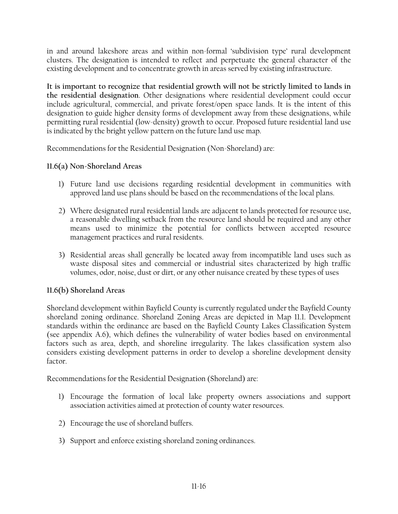in and around lakeshore areas and within non-formal 'subdivision type' rural development clusters. The designation is intended to reflect and perpetuate the general character of the existing development and to concentrate growth in areas served by existing infrastructure.

**It is important to recognize that residential growth will not be strictly limited to lands in the residential designation**. Other designations where residential development could occur include agricultural, commercial, and private forest/open space lands. It is the intent of this designation to guide higher density forms of development away from these designations, while permitting rural residential (low-density) growth to occur. Proposed future residential land use is indicated by the bright yellow pattern on the future land use map.

Recommendations for the Residential Designation (Non-Shoreland) are:

## **11.6(a) Non-Shoreland Areas**

- 1) Future land use decisions regarding residential development in communities with approved land use plans should be based on the recommendations of the local plans.
- 2) Where designated rural residential lands are adjacent to lands protected for resource use, a reasonable dwelling setback from the resource land should be required and any other means used to minimize the potential for conflicts between accepted resource management practices and rural residents.
- 3) Residential areas shall generally be located away from incompatible land uses such as waste disposal sites and commercial or industrial sites characterized by high traffic volumes, odor, noise, dust or dirt, or any other nuisance created by these types of uses

## **11.6(b) Shoreland Areas**

Shoreland development within Bayfield County is currently regulated under the Bayfield County shoreland zoning ordinance. Shoreland Zoning Areas are depicted in Map 11.1. Development standards within the ordinance are based on the Bayfield County Lakes Classification System (see appendix A.6), which defines the vulnerability of water bodies based on environmental factors such as area, depth, and shoreline irregularity. The lakes classification system also considers existing development patterns in order to develop a shoreline development density factor.

Recommendations for the Residential Designation (Shoreland) are:

- 1) Encourage the formation of local lake property owners associations and support association activities aimed at protection of county water resources.
- 2) Encourage the use of shoreland buffers.
- 3) Support and enforce existing shoreland zoning ordinances.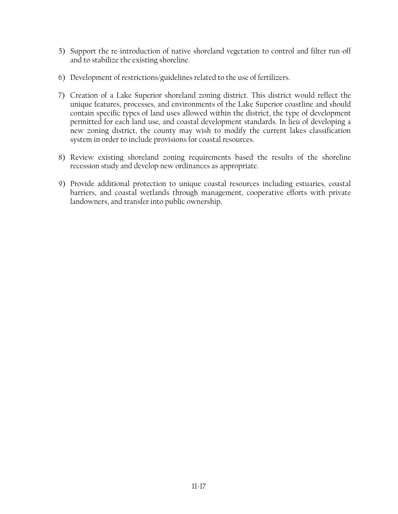- 5) Support the re-introduction of native shoreland vegetation to control and filter run-off and to stabilize the existing shoreline.
- 6) Development of restrictions/guidelines related to the use of fertilizers.
- 7) Creation of a Lake Superior shoreland zoning district. This district would reflect the unique features, processes, and environments of the Lake Superior coastline and should contain specific types of land uses allowed within the district, the type of development permitted for each land use, and coastal development standards. In lieu of developing a new zoning district, the county may wish to modify the current lakes classification system in order to include provisions for coastal resources.
- 8) Review existing shoreland zoning requirements based the results of the shoreline recession study and develop new ordinances as appropriate.
- 9) Provide additional protection to unique coastal resources including estuaries, coastal barriers, and coastal wetlands through management, cooperative efforts with private landowners, and transfer into public ownership.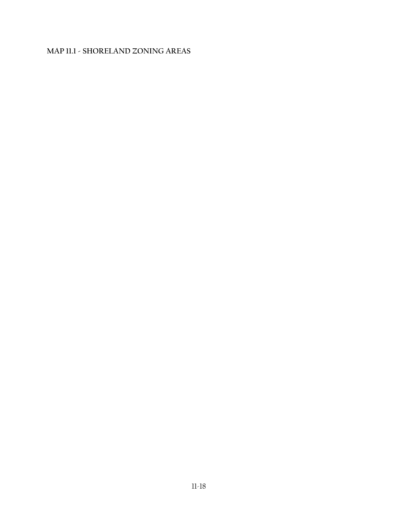## **MAP 11.1 - SHORELAND ZONING AREAS**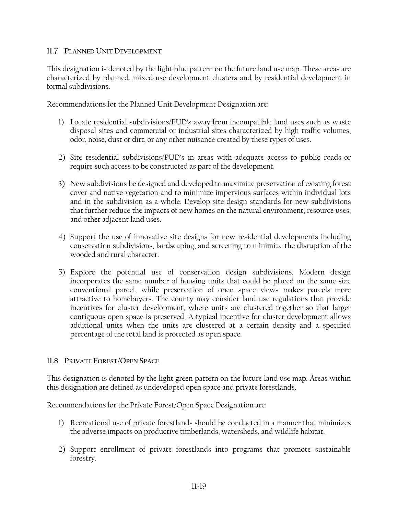#### **11.7 PLANNED UNIT DEVELOPMENT**

This designation is denoted by the light blue pattern on the future land use map. These areas are characterized by planned, mixed-use development clusters and by residential development in formal subdivisions.

Recommendations for the Planned Unit Development Designation are:

- 1) Locate residential subdivisions/PUD's away from incompatible land uses such as waste disposal sites and commercial or industrial sites characterized by high traffic volumes, odor, noise, dust or dirt, or any other nuisance created by these types of uses.
- 2) Site residential subdivisions/PUD's in areas with adequate access to public roads or require such access to be constructed as part of the development.
- 3) New subdivisions be designed and developed to maximize preservation of existing forest cover and native vegetation and to minimize impervious surfaces within individual lots and in the subdivision as a whole. Develop site design standards for new subdivisions that further reduce the impacts of new homes on the natural environment, resource uses, and other adjacent land uses.
- 4) Support the use of innovative site designs for new residential developments including conservation subdivisions, landscaping, and screening to minimize the disruption of the wooded and rural character.
- 5) Explore the potential use of conservation design subdivisions. Modern design incorporates the same number of housing units that could be placed on the same size conventional parcel, while preservation of open space views makes parcels more attractive to homebuyers. The county may consider land use regulations that provide incentives for cluster development, where units are clustered together so that larger contiguous open space is preserved. A typical incentive for cluster development allows additional units when the units are clustered at a certain density and a specified percentage of the total land is protected as open space.

## **11.8 PRIVATE FOREST/OPEN SPACE**

This designation is denoted by the light green pattern on the future land use map. Areas within this designation are defined as undeveloped open space and private forestlands.

Recommendations for the Private Forest/Open Space Designation are:

- 1) Recreational use of private forestlands should be conducted in a manner that minimizes the adverse impacts on productive timberlands, watersheds, and wildlife habitat.
- 2) Support enrollment of private forestlands into programs that promote sustainable forestry.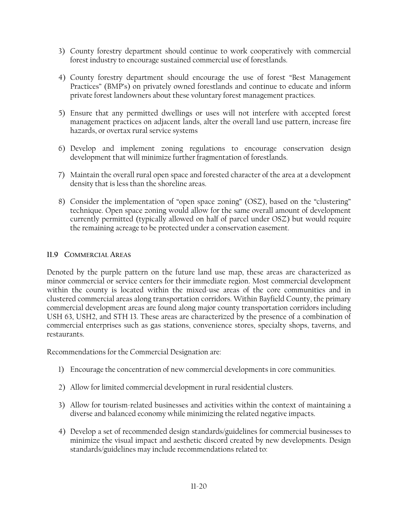- 3) County forestry department should continue to work cooperatively with commercial forest industry to encourage sustained commercial use of forestlands.
- 4) County forestry department should encourage the use of forest "Best Management Practices" (BMP's) on privately owned forestlands and continue to educate and inform private forest landowners about these voluntary forest management practices.
- 5) Ensure that any permitted dwellings or uses will not interfere with accepted forest management practices on adjacent lands, alter the overall land use pattern, increase fire hazards, or overtax rural service systems
- 6) Develop and implement zoning regulations to encourage conservation design development that will minimize further fragmentation of forestlands.
- 7) Maintain the overall rural open space and forested character of the area at a development density that is less than the shoreline areas.
- 8) Consider the implementation of "open space zoning" (OSZ), based on the "clustering" technique. Open space zoning would allow for the same overall amount of development currently permitted (typically allowed on half of parcel under OSZ) but would require the remaining acreage to be protected under a conservation easement.

## **11.9 COMMERCIAL AREAS**

Denoted by the purple pattern on the future land use map, these areas are characterized as minor commercial or service centers for their immediate region. Most commercial development within the county is located within the mixed-use areas of the core communities and in clustered commercial areas along transportation corridors. Within Bayfield County, the primary commercial development areas are found along major county transportation corridors including USH 63, USH2, and STH 13. These areas are characterized by the presence of a combination of commercial enterprises such as gas stations, convenience stores, specialty shops, taverns, and restaurants.

Recommendations for the Commercial Designation are:

- 1) Encourage the concentration of new commercial developments in core communities.
- 2) Allow for limited commercial development in rural residential clusters.
- 3) Allow for tourism-related businesses and activities within the context of maintaining a diverse and balanced economy while minimizing the related negative impacts.
- 4) Develop a set of recommended design standards/guidelines for commercial businesses to minimize the visual impact and aesthetic discord created by new developments. Design standards/guidelines may include recommendations related to: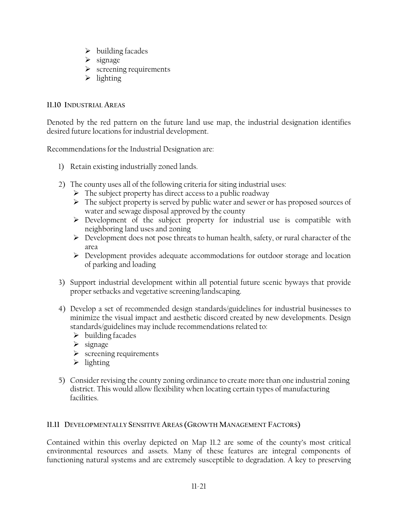- $\blacktriangleright$  building facades
- $\triangleright$  signage
- $\triangleright$  screening requirements
- $\triangleright$  lighting

### **11.10 INDUSTRIAL AREAS**

Denoted by the red pattern on the future land use map, the industrial designation identifies desired future locations for industrial development.

Recommendations for the Industrial Designation are:

- 1) Retain existing industrially zoned lands.
- 2) The county uses all of the following criteria for siting industrial uses:
	- $\triangleright$  The subject property has direct access to a public roadway
	- $\triangleright$  The subject property is served by public water and sewer or has proposed sources of water and sewage disposal approved by the county
	- ¾ Development of the subject property for industrial use is compatible with neighboring land uses and zoning
	- ¾ Development does not pose threats to human health, safety, or rural character of the area
	- ¾ Development provides adequate accommodations for outdoor storage and location of parking and loading
- 3) Support industrial development within all potential future scenic byways that provide proper setbacks and vegetative screening/landscaping.
- 4) Develop a set of recommended design standards/guidelines for industrial businesses to minimize the visual impact and aesthetic discord created by new developments. Design standards/guidelines may include recommendations related to:
	- $\triangleright$  building facades
	- $\triangleright$  signage
	- $\triangleright$  screening requirements
	- $\triangleright$  lighting
- 5) Consider revising the county zoning ordinance to create more than one industrial zoning district. This would allow flexibility when locating certain types of manufacturing facilities.

## **11.11 DEVELOPMENTALLY SENSITIVE AREAS (GROWTH MANAGEMENT FACTORS)**

Contained within this overlay depicted on Map 11.2 are some of the county's most critical environmental resources and assets. Many of these features are integral components of functioning natural systems and are extremely susceptible to degradation. A key to preserving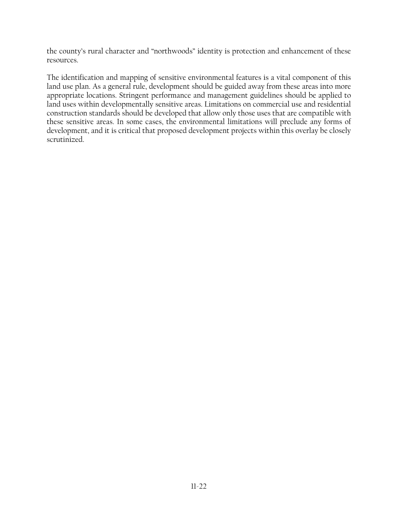the county's rural character and "northwoods" identity is protection and enhancement of these resources.

The identification and mapping of sensitive environmental features is a vital component of this land use plan. As a general rule, development should be guided away from these areas into more appropriate locations. Stringent performance and management guidelines should be applied to land uses within developmentally sensitive areas. Limitations on commercial use and residential construction standards should be developed that allow only those uses that are compatible with these sensitive areas. In some cases, the environmental limitations will preclude any forms of development, and it is critical that proposed development projects within this overlay be closely scrutinized.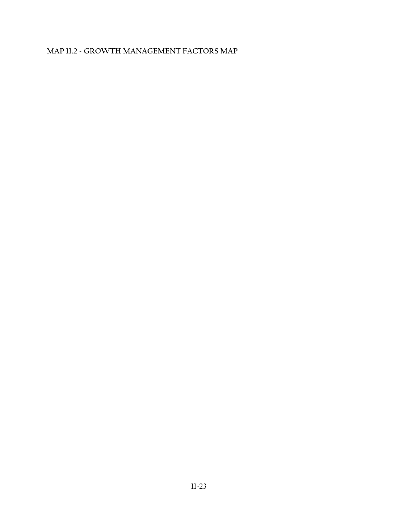## **MAP 11.2 - GROWTH MANAGEMENT FACTORS MAP**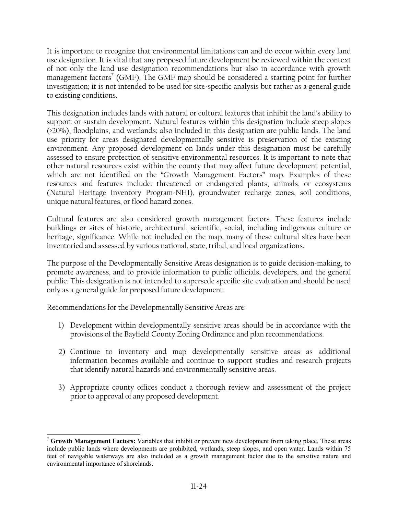It is important to recognize that environmental limitations can and do occur within every land use designation. It is vital that any proposed future development be reviewed within the context of not only the land use designation recommendations but also in accordance with growth management factors<sup>7</sup> (GMF). The GMF map should be considered a starting point for further investigation; it is not intended to be used for site-specific analysis but rather as a general guide to existing conditions.

This designation includes lands with natural or cultural features that inhibit the land's ability to support or sustain development. Natural features within this designation include steep slopes (>20%), floodplains, and wetlands; also included in this designation are public lands. The land use priority for areas designated developmentally sensitive is preservation of the existing environment. Any proposed development on lands under this designation must be carefully assessed to ensure protection of sensitive environmental resources. It is important to note that other natural resources exist within the county that may affect future development potential, which are not identified on the "Growth Management Factors" map. Examples of these resources and features include: threatened or endangered plants, animals, or ecosystems (Natural Heritage Inventory Program-NHI), groundwater recharge zones, soil conditions, unique natural features, or flood hazard zones.

Cultural features are also considered growth management factors. These features include buildings or sites of historic, architectural, scientific, social, including indigenous culture or heritage, significance. While not included on the map, many of these cultural sites have been inventoried and assessed by various national, state, tribal, and local organizations.

The purpose of the Developmentally Sensitive Areas designation is to guide decision-making, to promote awareness, and to provide information to public officials, developers, and the general public. This designation is not intended to supersede specific site evaluation and should be used only as a general guide for proposed future development.

Recommendations for the Developmentally Sensitive Areas are:

 $\overline{a}$ 

- 1) Development within developmentally sensitive areas should be in accordance with the provisions of the Bayfield County Zoning Ordinance and plan recommendations.
- 2) Continue to inventory and map developmentally sensitive areas as additional information becomes available and continue to support studies and research projects that identify natural hazards and environmentally sensitive areas.
- 3) Appropriate county offices conduct a thorough review and assessment of the project prior to approval of any proposed development.

<sup>7</sup> **Growth Management Factors:** Variables that inhibit or prevent new development from taking place. These areas include public lands where developments are prohibited, wetlands, steep slopes, and open water. Lands within 75 feet of navigable waterways are also included as a growth management factor due to the sensitive nature and environmental importance of shorelands.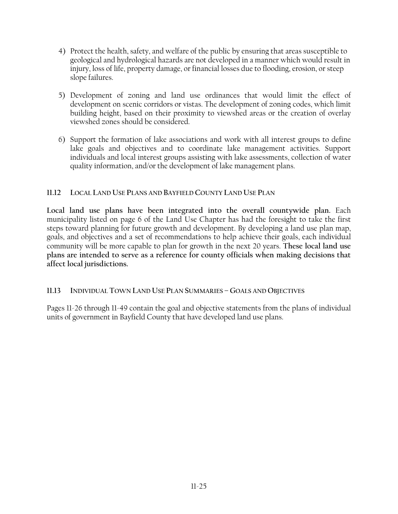- 4) Protect the health, safety, and welfare of the public by ensuring that areas susceptible to geological and hydrological hazards are not developed in a manner which would result in injury, loss of life, property damage, or financial losses due to flooding, erosion, or steep slope failures.
- 5) Development of zoning and land use ordinances that would limit the effect of development on scenic corridors or vistas. The development of zoning codes, which limit building height, based on their proximity to viewshed areas or the creation of overlay viewshed zones should be considered.
- 6) Support the formation of lake associations and work with all interest groups to define lake goals and objectives and to coordinate lake management activities. Support individuals and local interest groups assisting with lake assessments, collection of water quality information, and/or the development of lake management plans.

## **11.12 LOCAL LAND USE PLANS AND BAYFIELD COUNTY LAND USE PLAN**

**Local land use plans have been integrated into the overall countywide plan.** Each municipality listed on page 6 of the Land Use Chapter has had the foresight to take the first steps toward planning for future growth and development. By developing a land use plan map, goals, and objectives and a set of recommendations to help achieve their goals, each individual community will be more capable to plan for growth in the next 20 years. **These local land use plans are intended to serve as a reference for county officials when making decisions that affect local jurisdictions.** 

## **11.13 INDIVIDUAL TOWN LAND USE PLAN SUMMARIES – GOALS AND OBJECTIVES**

Pages 11-26 through 11-49 contain the goal and objective statements from the plans of individual units of government in Bayfield County that have developed land use plans.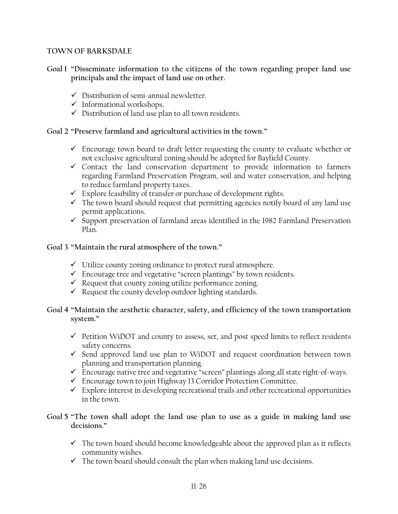### **TOWN OF BARKSDALE**

- **Goal 1 "Disseminate information to the citizens of the town regarding proper land use principals and the impact of land use on other.** 
	- $\checkmark$  Distribution of semi-annual newsletter.
	- $\checkmark$  Informational workshops.
	- $\checkmark$  Distribution of land use plan to all town residents.

## **Goal 2 "Preserve farmland and agricultural activities in the town."**

- $\checkmark$  Encourage town board to draft letter requesting the county to evaluate whether or not exclusive agricultural zoning should be adopted for Bayfield County.
- $\checkmark$  Contact the land conservation department to provide information to farmers regarding Farmland Preservation Program, soil and water conservation, and helping to reduce farmland property taxes.
- $\checkmark$  Explore feasibility of transfer or purchase of development rights.
- $\checkmark$  The town board should request that permitting agencies notify board of any land use permit applications.
- $\checkmark$  Support preservation of farmland areas identified in the 1982 Farmland Preservation Plan.

## **Goal 3 "Maintain the rural atmosphere of the town."**

- $\checkmark$  Utilize county zoning ordinance to protect rural atmosphere.
- $\checkmark$  Encourage tree and vegetative "screen plantings" by town residents.
- $\checkmark$  Request that county zoning utilize performance zoning.
- $\checkmark$  Request the county develop outdoor lighting standards.

## **Goal 4 "Maintain the aesthetic character, safety, and efficiency of the town transportation system."**

- $\checkmark$  Petition WiDOT and county to assess, set, and post speed limits to reflect residents safety concerns.
- $\checkmark$  Send approved land use plan to WiDOT and request coordination between town planning and transportation planning.
- $\checkmark$  Encourage native tree and vegetative "screen" plantings along all state right-of-ways.
- $\checkmark$  Encourage town to join Highway 13 Corridor Protection Committee.
- $\checkmark$  Explore interest in developing recreational trails and other recreational opportunities in the town.

## **Goal 5 "The town shall adopt the land use plan to use as a guide in making land use decisions."**

- $\checkmark$  The town board should become knowledgeable about the approved plan as it reflects community wishes.
- $\checkmark$  The town board should consult the plan when making land use decisions.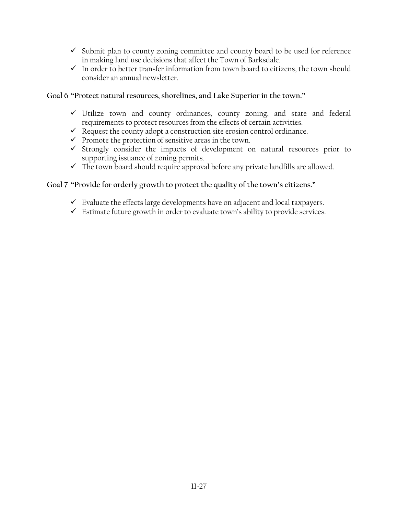- $\checkmark$  Submit plan to county zoning committee and county board to be used for reference in making land use decisions that affect the Town of Barksdale.
- $\checkmark$  In order to better transfer information from town board to citizens, the town should consider an annual newsletter.

### **Goal 6 "Protect natural resources, shorelines, and Lake Superior in the town."**

- $\checkmark$  Utilize town and county ordinances, county zoning, and state and federal requirements to protect resources from the effects of certain activities.
- $\checkmark$  Request the county adopt a construction site erosion control ordinance.
- $\checkmark$  Promote the protection of sensitive areas in the town.
- $\checkmark$  Strongly consider the impacts of development on natural resources prior to supporting issuance of zoning permits.
- $\checkmark$  The town board should require approval before any private landfills are allowed.

## **Goal 7 "Provide for orderly growth to protect the quality of the town's citizens."**

- $\checkmark$  Evaluate the effects large developments have on adjacent and local taxpayers.
- $\checkmark$  Estimate future growth in order to evaluate town's ability to provide services.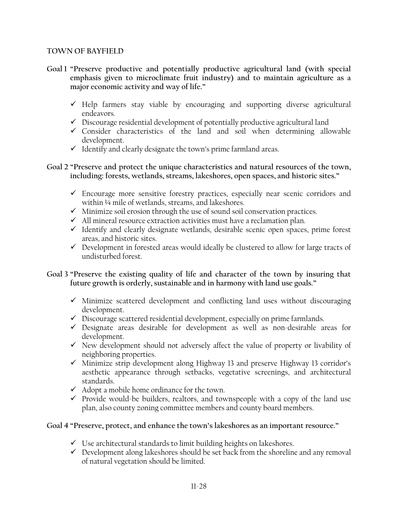### **TOWN OF BAYFIELD**

- **Goal 1 "Preserve productive and potentially productive agricultural land (with special emphasis given to microclimate fruit industry) and to maintain agriculture as a major economic activity and way of life."** 
	- $\checkmark$  Help farmers stay viable by encouraging and supporting diverse agricultural endeavors.
	- $\checkmark$  Discourage residential development of potentially productive agricultural land
	- $\checkmark$  Consider characteristics of the land and soil when determining allowable development.
	- $\checkmark$  Identify and clearly designate the town's prime farmland areas.
- **Goal 2 "Preserve and protect the unique characteristics and natural resources of the town, including: forests, wetlands, streams, lakeshores, open spaces, and historic sites."** 
	- $\checkmark$  Encourage more sensitive forestry practices, especially near scenic corridors and within ¼ mile of wetlands, streams, and lakeshores.
	- $\checkmark$  Minimize soil erosion through the use of sound soil conservation practices.
	- $\checkmark$  All mineral resource extraction activities must have a reclamation plan.
	- $\checkmark$  Identify and clearly designate wetlands, desirable scenic open spaces, prime forest areas, and historic sites.
	- $\checkmark$  Development in forested areas would ideally be clustered to allow for large tracts of undisturbed forest.

## **Goal 3 "Preserve the existing quality of life and character of the town by insuring that future growth is orderly, sustainable and in harmony with land use goals."**

- $\checkmark$  Minimize scattered development and conflicting land uses without discouraging development.
- $\checkmark$  Discourage scattered residential development, especially on prime farmlands.
- $\checkmark$  Designate areas desirable for development as well as non-desirable areas for development.
- $\checkmark$  New development should not adversely affect the value of property or livability of neighboring properties.
- $\checkmark$  Minimize strip development along Highway 13 and preserve Highway 13 corridor's aesthetic appearance through setbacks, vegetative screenings, and architectural standards.
- $\checkmark$  Adopt a mobile home ordinance for the town.
- $\checkmark$  Provide would-be builders, realtors, and townspeople with a copy of the land use plan, also county zoning committee members and county board members.

## **Goal 4 "Preserve, protect, and enhance the town's lakeshores as an important resource."**

- $\checkmark$  Use architectural standards to limit building heights on lakeshores.
- $\checkmark$  Development along lakeshores should be set back from the shoreline and any removal of natural vegetation should be limited.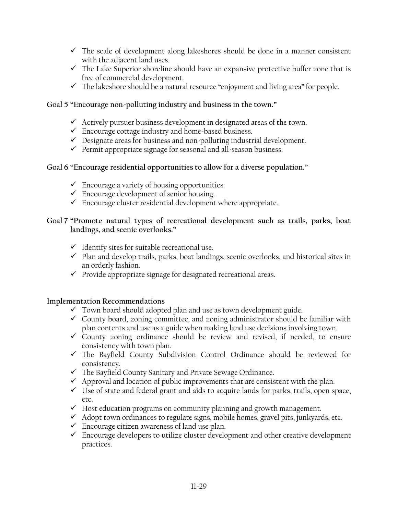- $\checkmark$  The scale of development along lakeshores should be done in a manner consistent with the adjacent land uses.
- $\checkmark$  The Lake Superior shoreline should have an expansive protective buffer zone that is free of commercial development.
- $\checkmark$  The lakeshore should be a natural resource "enjoyment and living area" for people.

## **Goal 5 "Encourage non-polluting industry and business in the town."**

- $\checkmark$  Actively pursuer business development in designated areas of the town.
- $\checkmark$  Encourage cottage industry and home-based business.
- $\checkmark$  Designate areas for business and non-polluting industrial development.
- $\checkmark$  Permit appropriate signage for seasonal and all-season business.

## **Goal 6 "Encourage residential opportunities to allow for a diverse population."**

- $\checkmark$  Encourage a variety of housing opportunities.
- $\checkmark$  Encourage development of senior housing.
- $\checkmark$  Encourage cluster residential development where appropriate.

## **Goal 7 "Promote natural types of recreational development such as trails, parks, boat landings, and scenic overlooks."**

- $\checkmark$  Identify sites for suitable recreational use.
- $\checkmark$  Plan and develop trails, parks, boat landings, scenic overlooks, and historical sites in an orderly fashion.
- $\checkmark$  Provide appropriate signage for designated recreational areas.

## **Implementation Recommendations**

- $\checkmark$  Town board should adopted plan and use as town development guide.
- $\checkmark$  County board, zoning committee, and zoning administrator should be familiar with plan contents and use as a guide when making land use decisions involving town.
- $\checkmark$  County zoning ordinance should be review and revised, if needed, to ensure consistency with town plan.
- $\checkmark$  The Bayfield County Subdivision Control Ordinance should be reviewed for consistency.
- $\checkmark$  The Bayfield County Sanitary and Private Sewage Ordinance.
- $\checkmark$  Approval and location of public improvements that are consistent with the plan.
- $\checkmark$  Use of state and federal grant and aids to acquire lands for parks, trails, open space, etc.
- $\checkmark$  Host education programs on community planning and growth management.
- $\checkmark$  Adopt town ordinances to regulate signs, mobile homes, gravel pits, junkyards, etc.
- $\checkmark$  Encourage citizen awareness of land use plan.
- $\checkmark$  Encourage developers to utilize cluster development and other creative development practices.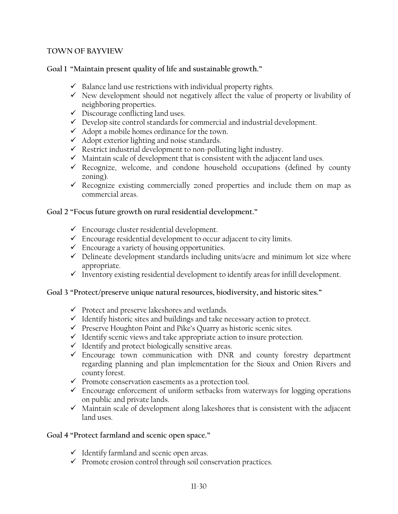### **TOWN OF BAYVIEW**

### **Goal 1 "Maintain present quality of life and sustainable growth."**

- $\checkmark$  Balance land use restrictions with individual property rights.
- $\checkmark$  New development should not negatively affect the value of property or livability of neighboring properties.
- $\checkmark$  Discourage conflicting land uses.
- $\checkmark$  Develop site control standards for commercial and industrial development.
- $\checkmark$  Adopt a mobile homes ordinance for the town.
- $\checkmark$  Adopt exterior lighting and noise standards.
- $\checkmark$  Restrict industrial development to non-polluting light industry.
- $\checkmark$  Maintain scale of development that is consistent with the adjacent land uses.
- $\checkmark$  Recognize, welcome, and condone household occupations (defined by county zoning).
- $\checkmark$  Recognize existing commercially zoned properties and include them on map as commercial areas.

## **Goal 2 "Focus future growth on rural residential development."**

- $\checkmark$  Encourage cluster residential development.
- $\checkmark$  Encourage residential development to occur adjacent to city limits.
- $\checkmark$  Encourage a variety of housing opportunities.
- $\checkmark$  Delineate development standards including units/acre and minimum lot size where appropriate.
- $\checkmark$  Inventory existing residential development to identify areas for infill development.

## **Goal 3 "Protect/preserve unique natural resources, biodiversity, and historic sites."**

- $\checkmark$  Protect and preserve lakeshores and wetlands.
- $\checkmark$  Identify historic sites and buildings and take necessary action to protect.
- $\checkmark$  Preserve Houghton Point and Pike's Quarry as historic scenic sites.
- $\checkmark$  Identify scenic views and take appropriate action to insure protection.
- $\checkmark$  Identify and protect biologically sensitive areas.
- $\checkmark$  Encourage town communication with DNR and county forestry department regarding planning and plan implementation for the Sioux and Onion Rivers and county forest.
- $\checkmark$  Promote conservation easements as a protection tool.
- $\checkmark$  Encourage enforcement of uniform setbacks from waterways for logging operations on public and private lands.
- $\checkmark$  Maintain scale of development along lakeshores that is consistent with the adjacent land uses.

## **Goal 4 "Protect farmland and scenic open space."**

- $\checkmark$  Identify farmland and scenic open areas.
- $\checkmark$  Promote erosion control through soil conservation practices.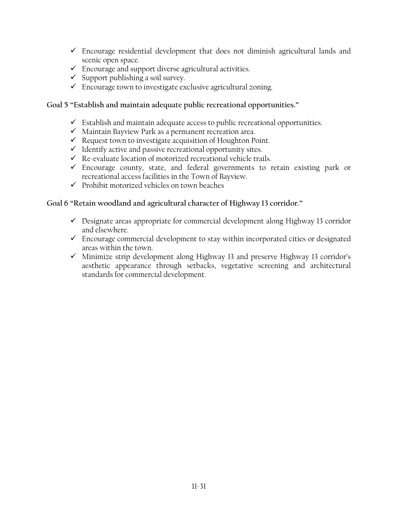- $\checkmark$  Encourage residential development that does not diminish agricultural lands and scenic open space.
- $\checkmark$  Encourage and support diverse agricultural activities.
- $\checkmark$  Support publishing a soil survey.
- $\checkmark$  Encourage town to investigate exclusive agricultural zoning.

## **Goal 5 "Establish and maintain adequate public recreational opportunities."**

- $\checkmark$  Establish and maintain adequate access to public recreational opportunities.
- $\checkmark$  Maintain Bayview Park as a permanent recreation area.
- $\checkmark$  Request town to investigate acquisition of Houghton Point.
- $\checkmark$  Identify active and passive recreational opportunity sites.
- $\checkmark$  Re-evaluate location of motorized recreational vehicle trails.
- $\checkmark$  Encourage county, state, and federal governments to retain existing park or recreational access facilities in the Town of Bayview.
- $\checkmark$  Prohibit motorized vehicles on town beaches

## **Goal 6 "Retain woodland and agricultural character of Highway 13 corridor."**

- $\checkmark$  Designate areas appropriate for commercial development along Highway 13 corridor and elsewhere.
- $\checkmark$  Encourage commercial development to stay within incorporated cities or designated areas within the town.
- $\checkmark$  Minimize strip development along Highway 13 and preserve Highway 13 corridor's aesthetic appearance through setbacks, vegetative screening and architectural standards for commercial development.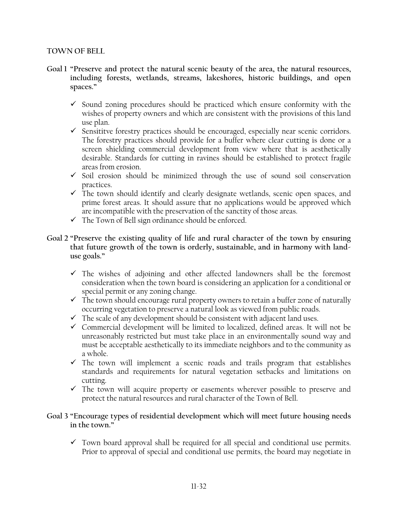#### **TOWN OF BELL**

- **Goal 1 "Preserve and protect the natural scenic beauty of the area, the natural resources, including forests, wetlands, streams, lakeshores, historic buildings, and open spaces."** 
	- $\checkmark$  Sound zoning procedures should be practiced which ensure conformity with the wishes of property owners and which are consistent with the provisions of this land use plan.
	- $\checkmark$  Sensititve forestry practices should be encouraged, especially near scenic corridors. The forestry practices should provide for a buffer where clear cutting is done or a screen shielding commercial development from view where that is aesthetically desirable. Standards for cutting in ravines should be established to protect fragile areas from erosion.
	- $\checkmark$  Soil erosion should be minimized through the use of sound soil conservation practices.
	- $\checkmark$  The town should identify and clearly designate wetlands, scenic open spaces, and prime forest areas. It should assure that no applications would be approved which are incompatible with the preservation of the sanctity of those areas.
	- $\checkmark$  The Town of Bell sign ordinance should be enforced.
- **Goal 2 "Preserve the existing quality of life and rural character of the town by ensuring that future growth of the town is orderly, sustainable, and in harmony with landuse goals."** 
	- $\checkmark$  The wishes of adjoining and other affected landowners shall be the foremost consideration when the town board is considering an application for a conditional or special permit or any zoning change.
	- $\checkmark$  The town should encourage rural property owners to retain a buffer zone of naturally occurring vegetation to preserve a natural look as viewed from public roads.
	- $\checkmark$  The scale of any development should be consistent with adjacent land uses.
	- $\checkmark$  Commercial development will be limited to localized, defined areas. It will not be unreasonably restricted but must take place in an environmentally sound way and must be acceptable aesthetically to its immediate neighbors and to the community as a whole.
	- $\checkmark$  The town will implement a scenic roads and trails program that establishes standards and requirements for natural vegetation setbacks and limitations on cutting.
	- $\checkmark$  The town will acquire property or easements wherever possible to preserve and protect the natural resources and rural character of the Town of Bell.

## **Goal 3 "Encourage types of residential development which will meet future housing needs in the town."**

 $\checkmark$  Town board approval shall be required for all special and conditional use permits. Prior to approval of special and conditional use permits, the board may negotiate in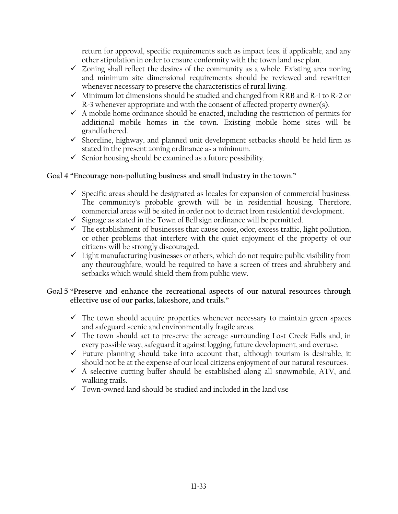return for approval, specific requirements such as impact fees, if applicable, and any other stipulation in order to ensure conformity with the town land use plan.

- $\checkmark$  Zoning shall reflect the desires of the community as a whole. Existing area zoning and minimum site dimensional requirements should be reviewed and rewritten whenever necessary to preserve the characteristics of rural living.
- $\checkmark$  Minimum lot dimensions should be studied and changed from RRB and R-1 to R-2 or R-3 whenever appropriate and with the consent of affected property owner(s).
- $\checkmark$  A mobile home ordinance should be enacted, including the restriction of permits for additional mobile homes in the town. Existing mobile home sites will be grandfathered.
- $\checkmark$  Shoreline, highway, and planned unit development setbacks should be held firm as stated in the present zoning ordinance as a minimum.
- $\checkmark$  Senior housing should be examined as a future possibility.

## **Goal 4 "Encourage non-polluting business and small industry in the town."**

- $\checkmark$  Specific areas should be designated as locales for expansion of commercial business. The community's probable growth will be in residential housing. Therefore, commercial areas will be sited in order not to detract from residential development.
- $\checkmark$  Signage as stated in the Town of Bell sign ordinance will be permitted.
- $\checkmark$  The establishment of businesses that cause noise, odor, excess traffic, light pollution, or other problems that interfere with the quiet enjoyment of the property of our citizens will be strongly discouraged.
- $\checkmark$  Light manufacturing businesses or others, which do not require public visibility from any thouroughfare, would be required to have a screen of trees and shrubbery and setbacks which would shield them from public view.
- **Goal 5 "Preserve and enhance the recreational aspects of our natural resources through effective use of our parks, lakeshore, and trails."** 
	- $\checkmark$  The town should acquire properties whenever necessary to maintain green spaces and safeguard scenic and environmentally fragile areas.
	- $\checkmark$  The town should act to preserve the acreage surrounding Lost Creek Falls and, in every possible way, safeguard it against logging, future development, and overuse.
	- $\checkmark$  Future planning should take into account that, although tourism is desirable, it should not be at the expense of our local citizens enjoyment of our natural resources.
	- $\checkmark$  A selective cutting buffer should be established along all snowmobile, ATV, and walking trails.
	- $\checkmark$  Town-owned land should be studied and included in the land use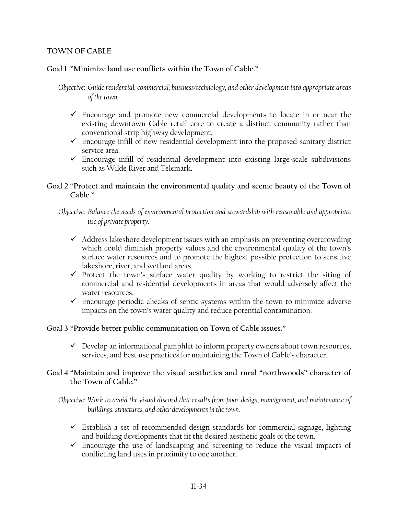## **TOWN OF CABLE**

## **Goal 1 "Minimize land use conflicts within the Town of Cable."**

*Objective: Guide residential, commercial, business/technology, and other development into appropriate areas of the town.* 

- $\checkmark$  Encourage and promote new commercial developments to locate in or near the existing downtown Cable retail core to create a distinct community rather than conventional strip highway development.
- $\checkmark$  Encourage infill of new residential development into the proposed sanitary district service area.
- $\checkmark$  Encourage infill of residential development into existing large-scale subdivisions such as Wilde River and Telemark.

### **Goal 2 "Protect and maintain the environmental quality and scenic beauty of the Town of Cable."**

*Objective: Balance the needs of environmental protection and stewardship with reasonable and appropriate use of private property.* 

- $\checkmark$  Address lakeshore development issues with an emphasis on preventing overcrowding which could diminish property values and the environmental quality of the town's surface water resources and to promote the highest possible protection to sensitive lakeshore, river, and wetland areas.
- $\checkmark$  Protect the town's surface water quality by working to restrict the siting of commercial and residential developments in areas that would adversely affect the water resources.
- $\checkmark$  Encourage periodic checks of septic systems within the town to minimize adverse impacts on the town's water quality and reduce potential contamination.

#### **Goal 3 "Provide better public communication on Town of Cable issues."**

 $\checkmark$  Develop an informational pamphlet to inform property owners about town resources, services, and best use practices for maintaining the Town of Cable's character.

#### **Goal 4 "Maintain and improve the visual aesthetics and rural "northwoods" character of the Town of Cable."**

*Objective: Work to avoid the visual discord that results from poor design, management, and maintenance of buildings, structures, and other developments in the town.* 

- $\checkmark$  Establish a set of recommended design standards for commercial signage, lighting and building developments that fit the desired aesthetic goals of the town.
- $\checkmark$  Encourage the use of landscaping and screening to reduce the visual impacts of conflicting land uses in proximity to one another.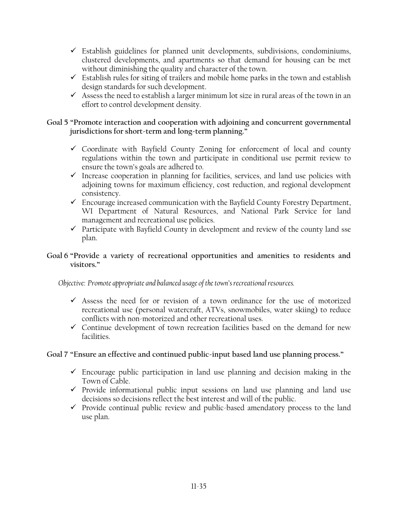- $\checkmark$  Establish guidelines for planned unit developments, subdivisions, condominiums, clustered developments, and apartments so that demand for housing can be met without diminishing the quality and character of the town.
- $\checkmark$  Establish rules for siting of trailers and mobile home parks in the town and establish design standards for such development.
- $\checkmark$  Assess the need to establish a larger minimum lot size in rural areas of the town in an effort to control development density.

## **Goal 5 "Promote interaction and cooperation with adjoining and concurrent governmental jurisdictions for short-term and long-term planning."**

- $\checkmark$  Coordinate with Bayfield County Zoning for enforcement of local and county regulations within the town and participate in conditional use permit review to ensure the town's goals are adhered to.
- $\checkmark$  Increase cooperation in planning for facilities, services, and land use policies with adjoining towns for maximum efficiency, cost reduction, and regional development consistency.
- $\checkmark$  Encourage increased communication with the Bayfield County Forestry Department, WI Department of Natural Resources, and National Park Service for land management and recreational use policies.
- $\checkmark$  Participate with Bayfield County in development and review of the county land sse plan.

## **Goal 6 "Provide a variety of recreational opportunities and amenities to residents and visitors."**

*Objective: Promote appropriate and balanced usage of the town's recreational resources.* 

- $\checkmark$  Assess the need for or revision of a town ordinance for the use of motorized recreational use (personal watercraft, ATVs, snowmobiles, water skiing) to reduce conflicts with non-motorized and other recreational uses.
- $\checkmark$  Continue development of town recreation facilities based on the demand for new facilities.

## **Goal 7 "Ensure an effective and continued public-input based land use planning process."**

- $\checkmark$  Encourage public participation in land use planning and decision making in the Town of Cable.
- $\checkmark$  Provide informational public input sessions on land use planning and land use decisions so decisions reflect the best interest and will of the public.
- $\checkmark$  Provide continual public review and public-based amendatory process to the land use plan.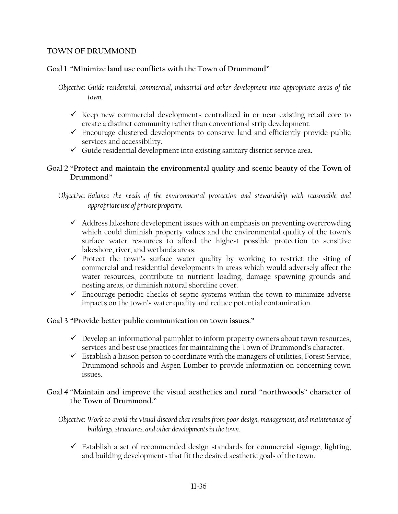### **TOWN OF DRUMMOND**

## **Goal 1 "Minimize land use conflicts with the Town of Drummond"**

*Objective: Guide residential, commercial, industrial and other development into appropriate areas of the town.* 

- $\checkmark$  Keep new commercial developments centralized in or near existing retail core to create a distinct community rather than conventional strip development.
- $\checkmark$  Encourage clustered developments to conserve land and efficiently provide public services and accessibility.
- $\checkmark$  Guide residential development into existing sanitary district service area.

## **Goal 2 "Protect and maintain the environmental quality and scenic beauty of the Town of Drummond"**

*Objective: Balance the needs of the environmental protection and stewardship with reasonable and appropriate use of private property.* 

- $\checkmark$  Address lakeshore development issues with an emphasis on preventing overcrowding which could diminish property values and the environmental quality of the town's surface water resources to afford the highest possible protection to sensitive lakeshore, river, and wetlands areas.
- $\checkmark$  Protect the town's surface water quality by working to restrict the siting of commercial and residential developments in areas which would adversely affect the water resources, contribute to nutrient loading, damage spawning grounds and nesting areas, or diminish natural shoreline cover.
- $\checkmark$  Encourage periodic checks of septic systems within the town to minimize adverse impacts on the town's water quality and reduce potential contamination.

## **Goal 3 "Provide better public communication on town issues."**

- $\checkmark$  Develop an informational pamphlet to inform property owners about town resources, services and best use practices for maintaining the Town of Drummond's character.
- $\checkmark$  Establish a liaison person to coordinate with the managers of utilities, Forest Service, Drummond schools and Aspen Lumber to provide information on concerning town issues.

## **Goal 4 "Maintain and improve the visual aesthetics and rural "northwoods" character of the Town of Drummond."**

*Objective: Work to avoid the visual discord that results from poor design, management, and maintenance of buildings, structures, and other developments in the town.* 

 $\checkmark$  Establish a set of recommended design standards for commercial signage, lighting, and building developments that fit the desired aesthetic goals of the town.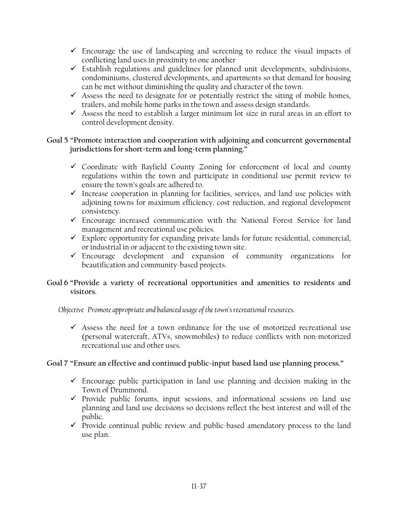- $\checkmark$  Encourage the use of landscaping and screening to reduce the visual impacts of conflicting land uses in proximity to one another
- $\checkmark$  Establish regulations and guidelines for planned unit developments, subdivisions, condominiums, clustered developments, and apartments so that demand for housing can be met without diminishing the quality and character of the town.
- $\checkmark$  Assess the need to designate for or potentially restrict the siting of mobile homes, trailers, and mobile home parks in the town and assess design standards.
- $\checkmark$  Assess the need to establish a larger minimum lot size in rural areas in an effort to control development density.

## **Goal 5 "Promote interaction and cooperation with adjoining and concurrent governmental jurisdictions for short-term and long-term planning."**

- $\checkmark$  Coordinate with Bayfield County Zoning for enforcement of local and county regulations within the town and participate in conditional use permit review to ensure the town's goals are adhered to.
- $\checkmark$  Increase cooperation in planning for facilities, services, and land use policies with adjoining towns for maximum efficiency, cost reduction, and regional development consistency.
- $\checkmark$  Encourage increased communication with the National Forest Service for land management and recreational use policies.
- $\checkmark$  Explore opportunity for expanding private lands for future residential, commercial, or industrial in or adjacent to the existing town site.
- $\checkmark$  Encourage development and expansion of community organizations for beautification and community-based projects.

## **Goal 6 "Provide a variety of recreational opportunities and amenities to residents and visitors.**

*Objective Promote appropriate and balanced usage of the town's recreational resources.* 

 $\checkmark$  Assess the need for a town ordinance for the use of motorized recreational use (personal watercraft, ATVs, snowmobiles) to reduce conflicts with non-motorized recreational use and other uses.

## **Goal 7 "Ensure an effective and continued public-input based land use planning process."**

- $\checkmark$  Encourage public participation in land use planning and decision making in the Town of Drummond.
- $\checkmark$  Provide public forums, input sessions, and informational sessions on land use planning and land use decisions so decisions reflect the best interest and will of the public.
- $\checkmark$  Provide continual public review and public-based amendatory process to the land use plan.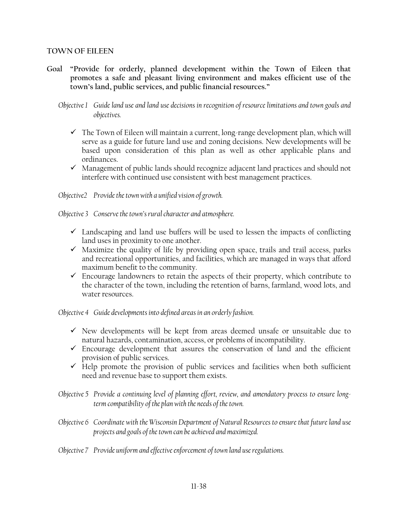#### **TOWN OF EILEEN**

**Goal "Provide for orderly, planned development within the Town of Eileen that promotes a safe and pleasant living environment and makes efficient use of the town's land, public services, and public financial resources."** 

*Objective 1 Guide land use and land use decisions in recognition of resource limitations and town goals and objectives.* 

- $\checkmark$  The Town of Eileen will maintain a current, long-range development plan, which will serve as a guide for future land use and zoning decisions. New developments will be based upon consideration of this plan as well as other applicable plans and ordinances.
- $\checkmark$  Management of public lands should recognize adjacent land practices and should not interfere with continued use consistent with best management practices.

*Objective2 Provide the town with a unified vision of growth.* 

*Objective 3 Conserve the town's rural character and atmosphere.* 

- $\checkmark$  Landscaping and land use buffers will be used to lessen the impacts of conflicting land uses in proximity to one another.
- $\checkmark$  Maximize the quality of life by providing open space, trails and trail access, parks and recreational opportunities, and facilities, which are managed in ways that afford maximum benefit to the community.
- $\checkmark$  Encourage landowners to retain the aspects of their property, which contribute to the character of the town, including the retention of barns, farmland, wood lots, and water resources.

*Objective 4 Guide developments into defined areas in an orderly fashion.* 

- $\checkmark$  New developments will be kept from areas deemed unsafe or unsuitable due to natural hazards, contamination, access, or problems of incompatibility.
- $\checkmark$  Encourage development that assures the conservation of land and the efficient provision of public services.
- $\checkmark$  Help promote the provision of public services and facilities when both sufficient need and revenue base to support them exists.
- *Objective 5 Provide a continuing level of planning effort, review, and amendatory process to ensure longterm compatibility of the plan with the needs of the town.*
- *Objective 6 Coordinate with the Wisconsin Department of Natural Resources to ensure that future land use projects and goals of the town can be achieved and maximized.*
- *Objective 7 Provide uniform and effective enforcement of town land use regulations.*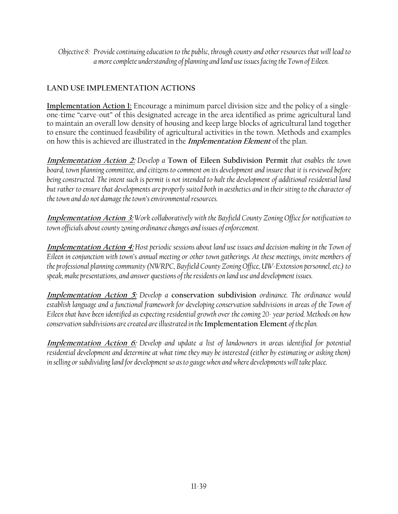*Objective 8: Provide continuing education to the public, through county and other resources that will lead to a more complete understanding of planning and land use issues facing the Town of Eileen.* 

# **LAND USE IMPLEMENTATION ACTIONS**

**Implementation Action 1:** Encourage a minimum parcel division size and the policy of a singleone-time "carve-out" of this designated acreage in the area identified as prime agricultural land to maintain an overall low density of housing and keep large blocks of agricultural land together to ensure the continued feasibility of agricultural activities in the town. Methods and examples on how this is achieved are illustrated in the **Implementation Element** of the plan.

**Implementation Action 2:** *Develop a* **Town of Eileen Subdivision Permit** *that enables the town board, town planning committee, and citizens to comment on its development and insure that it is reviewed before being constructed. The intent such is permit is not intended to halt the development of additional residential land but rather to ensure that developments are properly suited both in aesthetics and in their siting to the character of the town and do not damage the town's environmental resources.* 

**Implementation Action 3:** *Work collaboratively with the Bayfield County Zoning Office for notification to town officials about county zoning ordinance changes and issues of enforcement.* 

**Implementation Action 4:** *Host periodic sessions about land use issues and decision-making in the Town of Eileen in conjunction with town's annual meeting or other town gatherings. At these meetings, invite members of the professional planning community (NWRPC, Bayfield County Zoning Office, UW-Extension personnel, etc.) to speak, make presentations, and answer questions of the residents on land use and development issues.* 

**Implementation Action 5:** *Develop a* **conservation subdivision** *ordinance. The ordinance would*  establish language and a functional framework for developing conservation subdivisions in areas of the Town of *Eileen that have been identified as expecting residential growth over the coming 20- year period. Methods on how conservation subdivisions are created are illustrated in the* **Implementation Element** *of the plan.* 

**Implementation Action 6:** *Develop and update a list of landowners in areas identified for potential residential development and determine at what time they may be interested (either by estimating or asking them) in selling or subdividing land for development so as to gauge when and where developments will take place.*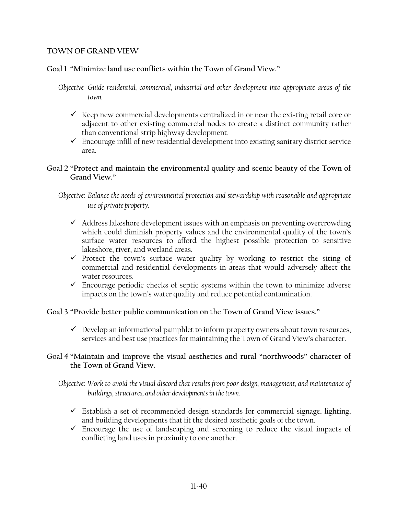#### **TOWN OF GRAND VIEW**

## **Goal 1 "Minimize land use conflicts within the Town of Grand View."**

- *Objective Guide residential, commercial, industrial and other development into appropriate areas of the town.* 
	- $\checkmark$  Keep new commercial developments centralized in or near the existing retail core or adjacent to other existing commercial nodes to create a distinct community rather than conventional strip highway development.
	- $\checkmark$  Encourage infill of new residential development into existing sanitary district service area.

## **Goal 2 "Protect and maintain the environmental quality and scenic beauty of the Town of Grand View."**

*Objective: Balance the needs of environmental protection and stewardship with reasonable and appropriate use of private property.* 

- $\checkmark$  Address lakeshore development issues with an emphasis on preventing overcrowding which could diminish property values and the environmental quality of the town's surface water resources to afford the highest possible protection to sensitive lakeshore, river, and wetland areas.
- $\checkmark$  Protect the town's surface water quality by working to restrict the siting of commercial and residential developments in areas that would adversely affect the water resources.
- $\checkmark$  Encourage periodic checks of septic systems within the town to minimize adverse impacts on the town's water quality and reduce potential contamination.

## **Goal 3 "Provide better public communication on the Town of Grand View issues."**

 $\checkmark$  Develop an informational pamphlet to inform property owners about town resources, services and best use practices for maintaining the Town of Grand View's character.

## **Goal 4 "Maintain and improve the visual aesthetics and rural "northwoods" character of the Town of Grand View.**

*Objective: Work to avoid the visual discord that results from poor design, management, and maintenance of buildings, structures, and other developments in the town.* 

- $\checkmark$  Establish a set of recommended design standards for commercial signage, lighting, and building developments that fit the desired aesthetic goals of the town.
- $\checkmark$  Encourage the use of landscaping and screening to reduce the visual impacts of conflicting land uses in proximity to one another.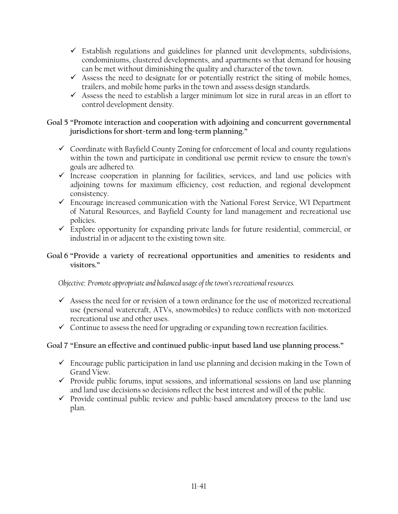- $\checkmark$  Establish regulations and guidelines for planned unit developments, subdivisions, condominiums, clustered developments, and apartments so that demand for housing can be met without diminishing the quality and character of the town.
- $\checkmark$  Assess the need to designate for or potentially restrict the siting of mobile homes, trailers, and mobile home parks in the town and assess design standards.
- $\checkmark$  Assess the need to establish a larger minimum lot size in rural areas in an effort to control development density.

## **Goal 5 "Promote interaction and cooperation with adjoining and concurrent governmental jurisdictions for short-term and long-term planning."**

- $\checkmark$  Coordinate with Bayfield County Zoning for enforcement of local and county regulations within the town and participate in conditional use permit review to ensure the town's goals are adhered to.
- $\checkmark$  Increase cooperation in planning for facilities, services, and land use policies with adjoining towns for maximum efficiency, cost reduction, and regional development consistency.
- $\checkmark$  Encourage increased communication with the National Forest Service, WI Department of Natural Resources, and Bayfield County for land management and recreational use policies.
- $\checkmark$  Explore opportunity for expanding private lands for future residential, commercial, or industrial in or adjacent to the existing town site.

## **Goal 6 "Provide a variety of recreational opportunities and amenities to residents and visitors."**

*Objective: Promote appropriate and balanced usage of the town's recreational resources.* 

- $\checkmark$  Assess the need for or revision of a town ordinance for the use of motorized recreational use (personal watercraft, ATVs, snowmobiles) to reduce conflicts with non-motorized recreational use and other uses.
- $\checkmark$  Continue to assess the need for upgrading or expanding town recreation facilities.

## **Goal 7 "Ensure an effective and continued public-input based land use planning process."**

- $\checkmark$  Encourage public participation in land use planning and decision making in the Town of Grand View.
- $\checkmark$  Provide public forums, input sessions, and informational sessions on land use planning and land use decisions so decisions reflect the best interest and will of the public.
- $\checkmark$  Provide continual public review and public-based amendatory process to the land use plan.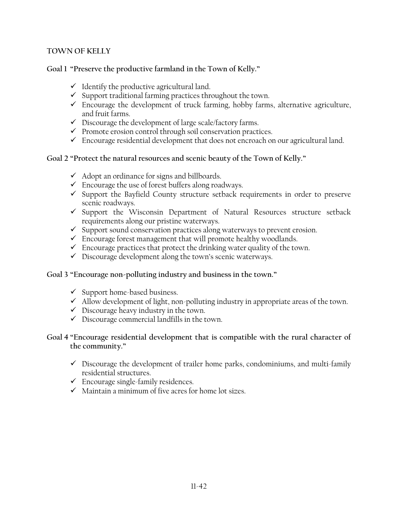## **TOWN OF KELLY**

## **Goal 1 "Preserve the productive farmland in the Town of Kelly."**

- $\checkmark$  Identify the productive agricultural land.
- $\checkmark$  Support traditional farming practices throughout the town.
- $\checkmark$  Encourage the development of truck farming, hobby farms, alternative agriculture, and fruit farms.
- $\checkmark$  Discourage the development of large scale/factory farms.
- $\checkmark$  Promote erosion control through soil conservation practices.
- $\checkmark$  Encourage residential development that does not encroach on our agricultural land.

## **Goal 2 "Protect the natural resources and scenic beauty of the Town of Kelly."**

- $\checkmark$  Adopt an ordinance for signs and billboards.
- $\checkmark$  Encourage the use of forest buffers along roadways.
- $\checkmark$  Support the Bayfield County structure setback requirements in order to preserve scenic roadways.
- $\checkmark$  Support the Wisconsin Department of Natural Resources structure setback requirements along our pristine waterways.
- $\checkmark$  Support sound conservation practices along waterways to prevent erosion.
- $\checkmark$  Encourage forest management that will promote healthy woodlands.
- $\checkmark$  Encourage practices that protect the drinking water quality of the town.
- $\checkmark$  Discourage development along the town's scenic waterways.

## **Goal 3 "Encourage non-polluting industry and business in the town."**

- $\checkmark$  Support home-based business.
- $\checkmark$  Allow development of light, non-polluting industry in appropriate areas of the town.
- $\checkmark$  Discourage heavy industry in the town.
- $\checkmark$  Discourage commercial landfills in the town.

## **Goal 4 "Encourage residential development that is compatible with the rural character of the community."**

- $\checkmark$  Discourage the development of trailer home parks, condominiums, and multi-family residential structures.
- $\checkmark$  Encourage single-family residences.
- $\checkmark$  Maintain a minimum of five acres for home lot sizes.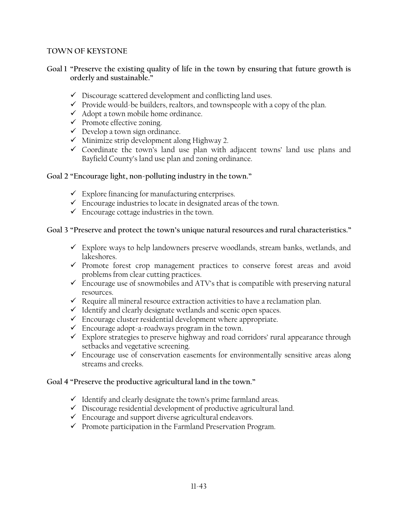### **TOWN OF KEYSTONE**

### **Goal 1 "Preserve the existing quality of life in the town by ensuring that future growth is orderly and sustainable."**

- $\checkmark$  Discourage scattered development and conflicting land uses.
- $\checkmark$  Provide would-be builders, realtors, and townspeople with a copy of the plan.
- $\checkmark$  Adopt a town mobile home ordinance.
- $\checkmark$  Promote effective zoning.
- $\checkmark$  Develop a town sign ordinance.
- $\checkmark$  Minimize strip development along Highway 2.
- $\checkmark$  Coordinate the town's land use plan with adjacent towns' land use plans and Bayfield County's land use plan and zoning ordinance.

#### **Goal 2 "Encourage light, non-polluting industry in the town."**

- $\checkmark$  Explore financing for manufacturing enterprises.
- $\checkmark$  Encourage industries to locate in designated areas of the town.
- $\checkmark$  Encourage cottage industries in the town.

## **Goal 3 "Preserve and protect the town's unique natural resources and rural characteristics."**

- $\checkmark$  Explore ways to help landowners preserve woodlands, stream banks, wetlands, and lakeshores.
- $\checkmark$  Promote forest crop management practices to conserve forest areas and avoid problems from clear cutting practices.
- $\checkmark$  Encourage use of snowmobiles and ATV's that is compatible with preserving natural resources.
- $\checkmark$  Require all mineral resource extraction activities to have a reclamation plan.
- $\checkmark$  Identify and clearly designate wetlands and scenic open spaces.
- $\checkmark$  Encourage cluster residential development where appropriate.
- $\checkmark$  Encourage adopt-a-roadways program in the town.
- $\checkmark$  Explore strategies to preserve highway and road corridors' rural appearance through setbacks and vegetative screening.
- $\checkmark$  Encourage use of conservation easements for environmentally sensitive areas along streams and creeks.

## **Goal 4 "Preserve the productive agricultural land in the town."**

- $\checkmark$  Identify and clearly designate the town's prime farmland areas.
- $\checkmark$  Discourage residential development of productive agricultural land.
- $\checkmark$  Encourage and support diverse agricultural endeavors.
- $\checkmark$  Promote participation in the Farmland Preservation Program.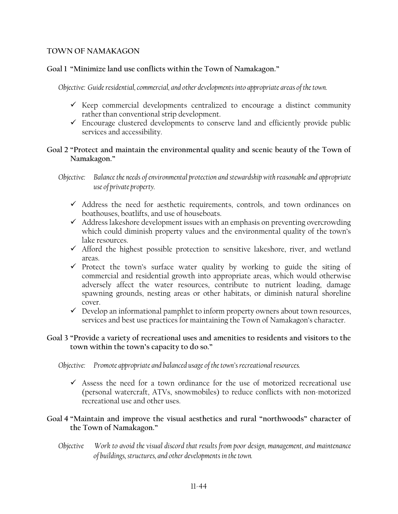### **TOWN OF NAMAKAGON**

## **Goal 1 "Minimize land use conflicts within the Town of Namakagon."**

*Objective: Guide residential, commercial, and other developments into appropriate areas of the town.* 

- $\checkmark$  Keep commercial developments centralized to encourage a distinct community rather than conventional strip development.
- $\checkmark$  Encourage clustered developments to conserve land and efficiently provide public services and accessibility.

## **Goal 2 "Protect and maintain the environmental quality and scenic beauty of the Town of Namakagon."**

*Objective: Balance the needs of environmental protection and stewardship with reasonable and appropriate use of private property.* 

- $\checkmark$  Address the need for aesthetic requirements, controls, and town ordinances on boathouses, boatlifts, and use of houseboats.
- $\checkmark$  Address lakeshore development issues with an emphasis on preventing overcrowding which could diminish property values and the environmental quality of the town's lake resources.
- $\checkmark$  Afford the highest possible protection to sensitive lakeshore, river, and wetland areas.
- $\checkmark$  Protect the town's surface water quality by working to guide the siting of commercial and residential growth into appropriate areas, which would otherwise adversely affect the water resources, contribute to nutrient loading, damage spawning grounds, nesting areas or other habitats, or diminish natural shoreline cover.
- $\checkmark$  Develop an informational pamphlet to inform property owners about town resources, services and best use practices for maintaining the Town of Namakagon's character.

## **Goal 3 "Provide a variety of recreational uses and amenities to residents and visitors to the town within the town's capacity to do so."**

*Objective: Promote appropriate and balanced usage of the town's recreational resources.*

 $\checkmark$  Assess the need for a town ordinance for the use of motorized recreational use (personal watercraft, ATVs, snowmobiles) to reduce conflicts with non-motorized recreational use and other uses.

## **Goal 4 "Maintain and improve the visual aesthetics and rural "northwoods" character of the Town of Namakagon."**

*Objective Work to avoid the visual discord that results from poor design, management, and maintenance of buildings, structures, and other developments in the town.*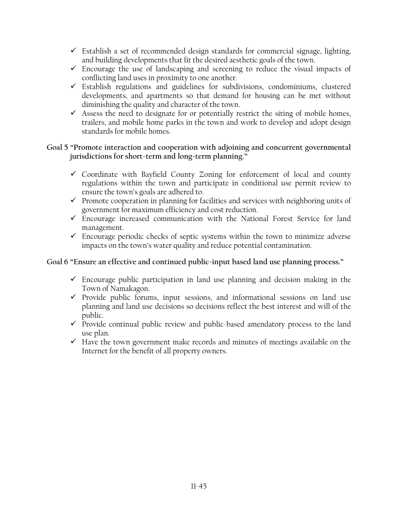- $\checkmark$  Establish a set of recommended design standards for commercial signage, lighting, and building developments that fit the desired aesthetic goals of the town.
- $\checkmark$  Encourage the use of landscaping and screening to reduce the visual impacts of conflicting land uses in proximity to one another.
- $\checkmark$  Establish regulations and guidelines for subdivisions, condominiums, clustered developments, and apartments so that demand for housing can be met without diminishing the quality and character of the town.
- $\checkmark$  Assess the need to designate for or potentially restrict the siting of mobile homes, trailers, and mobile home parks in the town and work to develop and adopt design standards for mobile homes.

## **Goal 5 "Promote interaction and cooperation with adjoining and concurrent governmental jurisdictions for short-term and long-term planning."**

- $\checkmark$  Coordinate with Bayfield County Zoning for enforcement of local and county regulations within the town and participate in conditional use permit review to ensure the town's goals are adhered to.
- $\checkmark$  Promote cooperation in planning for facilities and services with neighboring units of government for maximum efficiency and cost reduction.
- $\checkmark$  Encourage increased communication with the National Forest Service for land management.
- $\checkmark$  Encourage periodic checks of septic systems within the town to minimize adverse impacts on the town's water quality and reduce potential contamination.

## **Goal 6 "Ensure an effective and continued public-input based land use planning process."**

- $\checkmark$  Encourage public participation in land use planning and decision making in the Town of Namakagon.
- $\checkmark$  Provide public forums, input sessions, and informational sessions on land use planning and land use decisions so decisions reflect the best interest and will of the public.
- $\checkmark$  Provide continual public review and public-based amendatory process to the land use plan.
- $\checkmark$  Have the town government make records and minutes of meetings available on the Internet for the benefit of all property owners.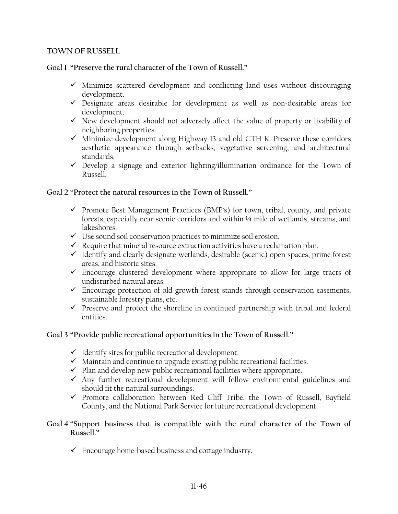### **TOWN OF RUSSELL**

## **Goal 1 "Preserve the rural character of the Town of Russell."**

- $\checkmark$  Minimize scattered development and conflicting land uses without discouraging development.
- $\checkmark$  Designate areas desirable for development as well as non-desirable areas for development.
- $\checkmark$  New development should not adversely affect the value of property or livability of neighboring properties.
- $\checkmark$  Minimize development along Highway 13 and old CTH K. Preserve these corridors aesthetic appearance through setbacks, vegetative screening, and architectural standards.
- $\checkmark$  Develop a signage and exterior lighting/illumination ordinance for the Town of Russell.

## **Goal 2 "Protect the natural resources in the Town of Russell."**

- $\checkmark$  Promote Best Management Practices (BMP's) for town, tribal, county, and private forests, especially near scenic corridors and within ¼ mile of wetlands, streams, and lakeshores.
- $\checkmark$  Use sound soil conservation practices to minimize soil erosion.
- $\checkmark$  Require that mineral resource extraction activities have a reclamation plan.
- $\checkmark$  Identify and clearly designate wetlands, desirable (scenic) open spaces, prime forest areas, and historic sites.
- $\checkmark$  Encourage clustered development where appropriate to allow for large tracts of undisturbed natural areas.
- $\checkmark$  Encourage protection of old growth forest stands through conservation easements, sustainable forestry plans, etc.
- $\checkmark$  Preserve and protect the shoreline in continued partnership with tribal and federal entities.

## **Goal 3 "Provide public recreational opportunities in the Town of Russell."**

- $\checkmark$  Identify sites for public recreational development.
- $\checkmark$  Maintain and continue to upgrade existing public recreational facilities.
- $\checkmark$  Plan and develop new public recreational facilities where appropriate.
- $\checkmark$  Any further recreational development will follow environmental guidelines and should fit the natural surroundings.
- $\checkmark$  Promote collaboration between Red Cliff Tribe, the Town of Russell, Bayfield County, and the National Park Service for future recreational development.

## **Goal 4 "Support business that is compatible with the rural character of the Town of Russell."**

 $\checkmark$  Encourage home-based business and cottage industry.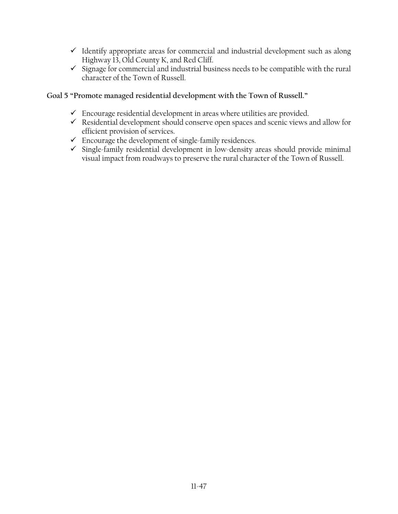- $\checkmark$  Identify appropriate areas for commercial and industrial development such as along Highway 13, Old County K, and Red Cliff.
- $\checkmark$  Signage for commercial and industrial business needs to be compatible with the rural character of the Town of Russell.

## **Goal 5 "Promote managed residential development with the Town of Russell."**

- $\checkmark$  Encourage residential development in areas where utilities are provided.
- $\checkmark$  Residential development should conserve open spaces and scenic views and allow for efficient provision of services.
- $\checkmark$  Encourage the development of single-family residences.
- $\checkmark$  Single-family residential development in low-density areas should provide minimal visual impact from roadways to preserve the rural character of the Town of Russell.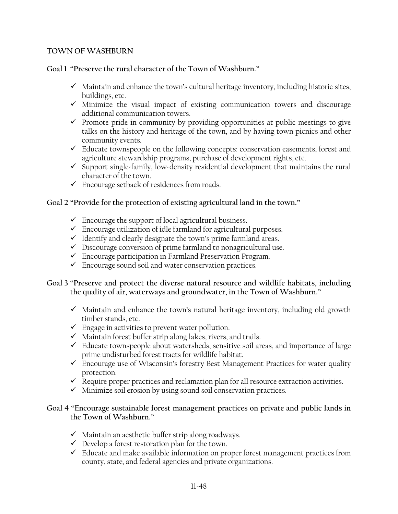### **TOWN OF WASHBURN**

### **Goal 1 "Preserve the rural character of the Town of Washburn."**

- $\checkmark$  Maintain and enhance the town's cultural heritage inventory, including historic sites, buildings, etc.
- $\checkmark$  Minimize the visual impact of existing communication towers and discourage additional communication towers.
- $\checkmark$  Promote pride in community by providing opportunities at public meetings to give talks on the history and heritage of the town, and by having town picnics and other community events.
- $\checkmark$  Educate townspeople on the following concepts: conservation easements, forest and agriculture stewardship programs, purchase of development rights, etc.
- $\checkmark$  Support single-family, low-density residential development that maintains the rural character of the town.
- $\checkmark$  Encourage setback of residences from roads.

## **Goal 2 "Provide for the protection of existing agricultural land in the town."**

- $\checkmark$  Encourage the support of local agricultural business.
- $\checkmark$  Encourage utilization of idle farmland for agricultural purposes.
- $\checkmark$  Identify and clearly designate the town's prime farmland areas.
- $\checkmark$  Discourage conversion of prime farmland to nonagricultural use.
- $\checkmark$  Encourage participation in Farmland Preservation Program.
- $\checkmark$  Encourage sound soil and water conservation practices.

## **Goal 3 "Preserve and protect the diverse natural resource and wildlife habitats, including the quality of air, waterways and groundwater, in the Town of Washburn."**

- $\checkmark$  Maintain and enhance the town's natural heritage inventory, including old growth timber stands, etc.
- $\checkmark$  Engage in activities to prevent water pollution.
- $\checkmark$  Maintain forest buffer strip along lakes, rivers, and trails.
- $\checkmark$  Educate townspeople about watersheds, sensitive soil areas, and importance of large prime undisturbed forest tracts for wildlife habitat.
- $\checkmark$  Encourage use of Wisconsin's forestry Best Management Practices for water quality protection.
- $\checkmark$  Require proper practices and reclamation plan for all resource extraction activities.
- $\checkmark$  Minimize soil erosion by using sound soil conservation practices.

## **Goal 4 "Encourage sustainable forest management practices on private and public lands in the Town of Washburn."**

- $\checkmark$  Maintain an aesthetic buffer strip along roadways.
- $\checkmark$  Develop a forest restoration plan for the town.
- $\checkmark$  Educate and make available information on proper forest management practices from county, state, and federal agencies and private organizations.